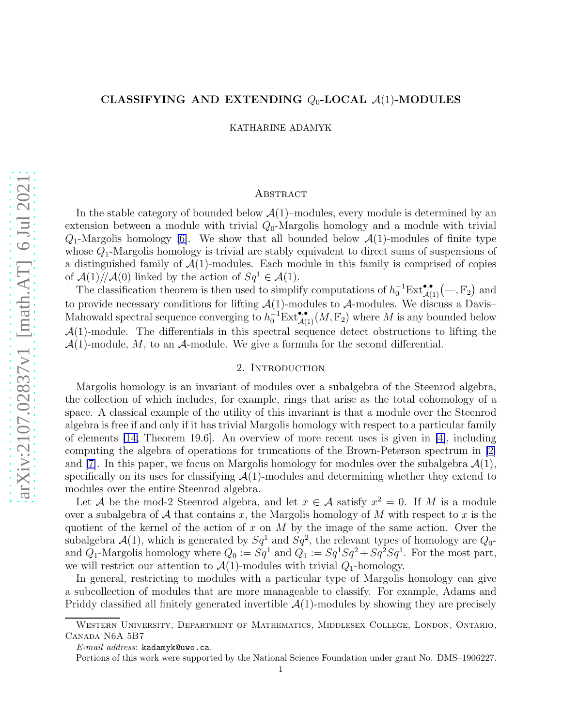### CLASSIFYING AND EXTENDING  $Q_0$ -LOCAL  $\mathcal{A}(1)$ -MODULES

KATHARINE ADAMYK

## **ABSTRACT**

In the stable category of bounded below  $\mathcal{A}(1)$ –modules, every module is determined by an extension between a module with trivial  $Q_0$ -Margolis homology and a module with trivial  $Q_1$ -Margolis homology [\[6\]](#page-35-0). We show that all bounded below  $\mathcal{A}(1)$ -modules of finite type whose  $Q_1$ -Margolis homology is trivial are stably equivalent to direct sums of suspensions of a distinguished family of  $\mathcal{A}(1)$ -modules. Each module in this family is comprised of copies of  $\mathcal{A}(1)/\mathcal{A}(0)$  linked by the action of  $Sq^1 \in \mathcal{A}(1)$ .

The classification theorem is then used to simplify computations of  $h_0^{-1}Ext_{\mathcal{A}(1)}^{\bullet,\bullet}(-,\mathbb{F}_2)$  and to provide necessary conditions for lifting  $\mathcal{A}(1)$ -modules to  $\mathcal{A}$ -modules. We discuss a Davis– Mahowald spectral sequence converging to  $h_0^{-1}Ext_{\mathcal{A}(1)}^{\bullet,\bullet}(M,\mathbb{F}_2)$  where M is any bounded below  $\mathcal{A}(1)$ -module. The differentials in this spectral sequence detect obstructions to lifting the  $\mathcal{A}(1)$ -module, M, to an  $\mathcal{A}$ -module. We give a formula for the second differential.

# 2. INTRODUCTION

Margolis homology is an invariant of modules over a subalgebra of the Steenrod algebra, the collection of which includes, for example, rings that arise as the total cohomology of a space. A classical example of the utility of this invariant is that a module over the Steenrod algebra is free if and only if it has trivial Margolis homology with respect to a particular family of elements [\[14,](#page-36-0) Theorem 19.6]. An overview of more recent uses is given in [\[4\]](#page-35-1), including computing the algebra of operations for truncations of the Brown-Peterson spectrum in [\[2\]](#page-35-2) and [\[7\]](#page-35-3). In this paper, we focus on Margolis homology for modules over the subalgebra  $\mathcal{A}(1)$ , specifically on its uses for classifying  $\mathcal{A}(1)$ -modules and determining whether they extend to modules over the entire Steenrod algebra.

Let A be the mod-2 Steenrod algebra, and let  $x \in A$  satisfy  $x^2 = 0$ . If M is a module over a subalgebra of A that contains x, the Margolis homology of M with respect to x is the quotient of the kernel of the action of x on M by the image of the same action. Over the subalgebra  $\mathcal{A}(1)$ , which is generated by  $Sq^1$  and  $Sq^2$ , the relevant types of homology are  $Q_0$ and  $Q_1$ -Margolis homology where  $Q_0 := Sq^1$  and  $Q_1 := Sq^1Sq^2 + Sq^2Sq^1$ . For the most part, we will restrict our attention to  $\mathcal{A}(1)$ -modules with trivial  $Q_1$ -homology.

In general, restricting to modules with a particular type of Margolis homology can give a subcollection of modules that are more manageable to classify. For example, Adams and Priddy classified all finitely generated invertible  $\mathcal{A}(1)$ -modules by showing they are precisely

Western University, Department of Mathematics, Middlesex College, London, Ontario, Canada N6A 5B7

 $E$ -mail address: kadamyk@uwo.ca.

Portions of this work were supported by the National Science Foundation under grant No. DMS–1906227.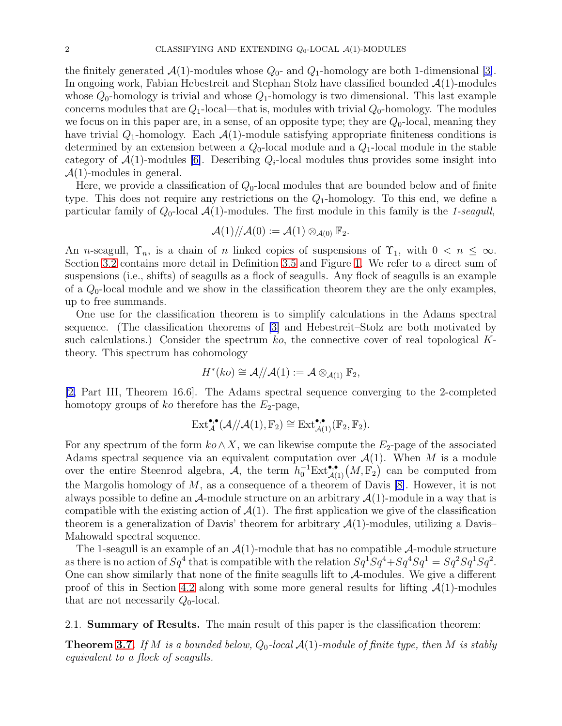the finitely generated  $\mathcal{A}(1)$ -modules whose  $Q_0$ - and  $Q_1$ -homology are both 1-dimensional [\[3\]](#page-35-4). In ongoing work, Fabian Hebestreit and Stephan Stolz have classified bounded  $A(1)$ -modules whose  $Q_0$ -homology is trivial and whose  $Q_1$ -homology is two dimensional. This last example concerns modules that are  $Q_1$ -local—that is, modules with trivial  $Q_0$ -homology. The modules we focus on in this paper are, in a sense, of an opposite type; they are  $Q_0$ -local, meaning they have trivial  $Q_1$ -homology. Each  $\mathcal{A}(1)$ -module satisfying appropriate finiteness conditions is determined by an extension between a  $Q_0$ -local module and a  $Q_1$ -local module in the stable category of  $\mathcal{A}(1)$ -modules [\[6\]](#page-35-0). Describing  $Q_i$ -local modules thus provides some insight into  $\mathcal{A}(1)$ -modules in general.

Here, we provide a classification of  $Q_0$ -local modules that are bounded below and of finite type. This does not require any restrictions on the  $Q_1$ -homology. To this end, we define a particular family of  $Q_0$ -local  $\mathcal{A}(1)$ -modules. The first module in this family is the 1-seagull,

$$
\mathcal{A}(1)/\!/\mathcal{A}(0):=\mathcal{A}(1)\otimes_{\mathcal{A}(0)}\mathbb{F}_2.
$$

An *n*-seagull,  $\Upsilon_n$ , is a chain of *n* linked copies of suspensions of  $\Upsilon_1$ , with  $0 < n \leq \infty$ . Section [3.2](#page-4-0) contains more detail in Definition [3.5](#page-4-1) and Figure [1.](#page-5-0) We refer to a direct sum of suspensions (i.e., shifts) of seagulls as a flock of seagulls. Any flock of seagulls is an example of a  $Q_0$ -local module and we show in the classification theorem they are the only examples, up to free summands.

One use for the classification theorem is to simplify calculations in the Adams spectral sequence. (The classification theorems of [\[3\]](#page-35-4) and Hebestreit–Stolz are both motivated by such calculations.) Consider the spectrum  $ko$ , the connective cover of real topological  $K$ theory. This spectrum has cohomology

$$
H^*(ko) \cong \mathcal{A}/\mathcal{A}(1) := \mathcal{A} \otimes_{\mathcal{A}(1)} \mathbb{F}_2,
$$

[\[2,](#page-35-2) Part III, Theorem 16.6]. The Adams spectral sequence converging to the 2-completed homotopy groups of ko therefore has the  $E_2$ -page,

$$
\mathrm{Ext}_{\mathcal{A}}^{\bullet,\bullet}(\mathcal{A}/\!/\mathcal{A}(1),\mathbb{F}_2) \cong \mathrm{Ext}_{\mathcal{A}(1)}^{\bullet,\bullet}(\mathbb{F}_2,\mathbb{F}_2).
$$

For any spectrum of the form  $ko \wedge X$ , we can likewise compute the  $E_2$ -page of the associated Adams spectral sequence via an equivalent computation over  $\mathcal{A}(1)$ . When M is a module over the entire Steenrod algebra,  $\mathcal{A}$ , the term  $h_0^{-1}Ext_{\mathcal{A}(1)}^{\bullet,\bullet}(M,\mathbb{F}_2)$  can be computed from the Margolis homology of  $M$ , as a consequence of a theorem of Davis [\[8\]](#page-35-5). However, it is not always possible to define an  $\mathcal{A}$ -module structure on an arbitrary  $\mathcal{A}(1)$ -module in a way that is compatible with the existing action of  $\mathcal{A}(1)$ . The first application we give of the classification theorem is a generalization of Davis' theorem for arbitrary  $\mathcal{A}(1)$ -modules, utilizing a Davis-Mahowald spectral sequence.

The 1-seagull is an example of an  $\mathcal{A}(1)$ -module that has no compatible  $\mathcal{A}$ -module structure as there is no action of  $Sq^4$  that is compatible with the relation  $Sq^1Sq^4 + Sq^4Sq^1 = Sq^2Sq^1Sq^2$ . One can show similarly that none of the finite seagulls lift to  $A$ -modules. We give a different proof of this in Section [4.2](#page-34-0) along with some more general results for lifting  $\mathcal{A}(1)$ -modules that are not necessarily  $Q_0$ -local.

2.1. Summary of Results. The main result of this paper is the classification theorem:

**Theorem [3.7.](#page-5-1)** If M is a bounded below,  $Q_0$ -local  $\mathcal{A}(1)$ -module of finite type, then M is stably equivalent to a flock of seagulls.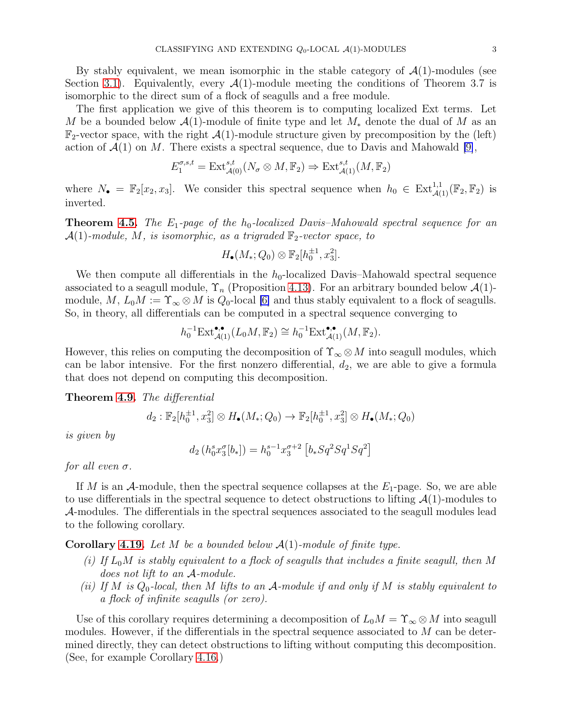By stably equivalent, we mean isomorphic in the stable category of  $\mathcal{A}(1)$ -modules (see Section [3.1\)](#page-3-0). Equivalently, every  $\mathcal{A}(1)$ -module meeting the conditions of Theorem 3.7 is isomorphic to the direct sum of a flock of seagulls and a free module.

The first application we give of this theorem is to computing localized Ext terms. Let M be a bounded below  $\mathcal{A}(1)$ -module of finite type and let  $M_*$  denote the dual of M as an  $\mathbb{F}_2$ -vector space, with the right  $\mathcal{A}(1)$ -module structure given by precomposition by the (left) action of  $\mathcal{A}(1)$  on M. There exists a spectral sequence, due to Davis and Mahowald [\[9\]](#page-35-6),

$$
E_1^{\sigma,s,t} = \text{Ext}^{s,t}_{\mathcal{A}(0)}(N_\sigma \otimes M, \mathbb{F}_2) \Rightarrow \text{Ext}^{s,t}_{\mathcal{A}(1)}(M, \mathbb{F}_2)
$$

where  $N_{\bullet} = \mathbb{F}_2[x_2, x_3]$ . We consider this spectral sequence when  $h_0 \in \text{Ext}^{1,1}_{\mathcal{A}(1)}(\mathbb{F}_2, \mathbb{F}_2)$  is inverted.

**Theorem [4.5.](#page-27-0)** The  $E_1$ -page of the  $h_0$ -localized Davis–Mahowald spectral sequence for an  $\mathcal{A}(1)$ -module, M, is isomorphic, as a trigraded  $\mathbb{F}_2$ -vector space, to

$$
H_{\bullet}(M_*, Q_0) \otimes \mathbb{F}_2[h_0^{\pm 1}, x_3^2].
$$

We then compute all differentials in the  $h_0$ -localized Davis–Mahowald spectral sequence associated to a seagull module,  $\Upsilon_n$  (Proposition [4.13\)](#page-32-0). For an arbitrary bounded below  $\mathcal{A}(1)$ module,  $M$ ,  $L_0M := \Upsilon_\infty \otimes M$  is  $Q_0$ -local [\[6\]](#page-35-0) and thus stably equivalent to a flock of seagulls. So, in theory, all differentials can be computed in a spectral sequence converging to

$$
h_0^{-1} \mathrm{Ext}_{\mathcal{A}(1)}^{\bullet,\bullet}(L_0M,\mathbb{F}_2) \cong h_0^{-1} \mathrm{Ext}_{\mathcal{A}(1)}^{\bullet,\bullet}(M,\mathbb{F}_2).
$$

However, this relies on computing the decomposition of  $\Upsilon_{\infty} \otimes M$  into seagull modules, which can be labor intensive. For the first nonzero differential,  $d_2$ , we are able to give a formula that does not depend on computing this decomposition.

## Theorem [4.9.](#page-30-0) The differential

$$
d_2: \mathbb{F}_2[h_0^{\pm 1}, x_3^2] \otimes H_{\bullet}(M_*; Q_0) \to \mathbb{F}_2[h_0^{\pm 1}, x_3^2] \otimes H_{\bullet}(M_*; Q_0)
$$

is given by

$$
d_2(h_0^s x_3^{\sigma}[b_*]) = h_0^{s-1} x_3^{\sigma+2} [b_* S q^2 S q^1 S q^2]
$$

for all even  $\sigma$ .

If M is an A-module, then the spectral sequence collapses at the  $E_1$ -page. So, we are able to use differentials in the spectral sequence to detect obstructions to lifting  $\mathcal{A}(1)$ -modules to A-modules. The differentials in the spectral sequences associated to the seagull modules lead to the following corollary.

**Corollary [4.19.](#page-35-7)** Let M be a bounded below  $\mathcal{A}(1)$ -module of finite type.

- (i) If  $L_0M$  is stably equivalent to a flock of seagulls that includes a finite seagull, then M does not lift to an A-module.
- (ii) If M is  $Q_0$ -local, then M lifts to an A-module if and only if M is stably equivalent to a flock of infinite seagulls (or zero).

Use of this corollary requires determining a decomposition of  $L_0M = \Upsilon_{\infty} \otimes M$  into seagull modules. However, if the differentials in the spectral sequence associated to  $M$  can be determined directly, they can detect obstructions to lifting without computing this decomposition. (See, for example Corollary [4.16.](#page-34-1))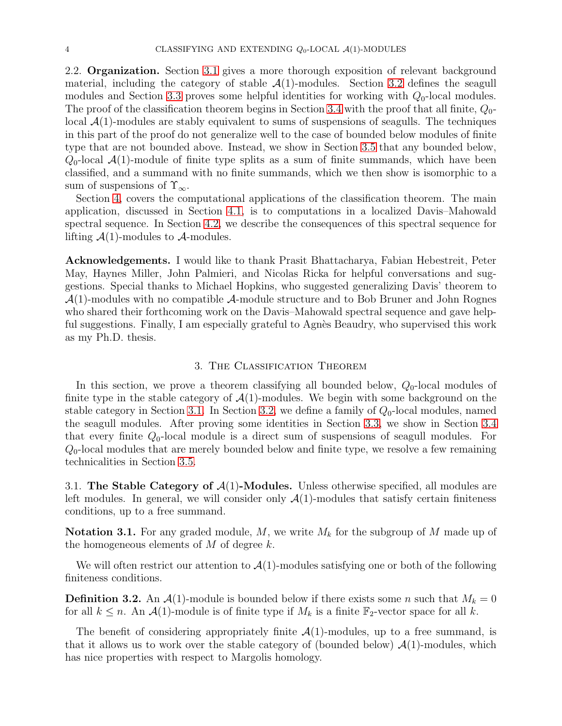2.2. Organization. Section [3.1](#page-3-0) gives a more thorough exposition of relevant background material, including the category of stable  $\mathcal{A}(1)$ -modules. Section [3.2](#page-4-0) defines the seagull modules and Section [3.3](#page-5-2) proves some helpful identities for working with  $Q_0$ -local modules. The proof of the classification theorem begins in Section [3.4](#page-7-0) with the proof that all finite,  $Q_0$ local  $\mathcal{A}(1)$ -modules are stably equivalent to sums of suspensions of seagulls. The techniques in this part of the proof do not generalize well to the case of bounded below modules of finite type that are not bounded above. Instead, we show in Section [3.5](#page-14-0) that any bounded below,  $Q_0$ -local  $\mathcal{A}(1)$ -module of finite type splits as a sum of finite summands, which have been classified, and a summand with no finite summands, which we then show is isomorphic to a sum of suspensions of  $\Upsilon_{\infty}$ .

Section [4,](#page-23-0) covers the computational applications of the classification theorem. The main application, discussed in Section [4.1,](#page-24-0) is to computations in a localized Davis–Mahowald spectral sequence. In Section [4.2,](#page-34-0) we describe the consequences of this spectral sequence for lifting  $\mathcal{A}(1)$ -modules to  $\mathcal{A}$ -modules.

Acknowledgements. I would like to thank Prasit Bhattacharya, Fabian Hebestreit, Peter May, Haynes Miller, John Palmieri, and Nicolas Ricka for helpful conversations and suggestions. Special thanks to Michael Hopkins, who suggested generalizing Davis' theorem to  $\mathcal{A}(1)$ -modules with no compatible  $\mathcal{A}$ -module structure and to Bob Bruner and John Rognes who shared their forthcoming work on the Davis–Mahowald spectral sequence and gave helpful suggestions. Finally, I am especially grateful to Agnès Beaudry, who supervised this work as my Ph.D. thesis.

#### 3. The Classification Theorem

<span id="page-3-1"></span>In this section, we prove a theorem classifying all bounded below,  $Q_0$ -local modules of finite type in the stable category of  $\mathcal{A}(1)$ -modules. We begin with some background on the stable category in Section [3.1.](#page-3-0) In Section [3.2,](#page-4-0) we define a family of  $Q_0$ -local modules, named the seagull modules. After proving some identities in Section [3.3,](#page-5-2) we show in Section [3.4](#page-7-0) that every finite  $Q_0$ -local module is a direct sum of suspensions of seagull modules. For  $Q_0$ -local modules that are merely bounded below and finite type, we resolve a few remaining technicalities in Section [3.5.](#page-14-0)

<span id="page-3-0"></span>3.1. The Stable Category of  $\mathcal{A}(1)$ -Modules. Unless otherwise specified, all modules are left modules. In general, we will consider only  $\mathcal{A}(1)$ -modules that satisfy certain finiteness conditions, up to a free summand.

**Notation 3.1.** For any graded module, M, we write  $M_k$  for the subgroup of M made up of the homogeneous elements of  $M$  of degree  $k$ .

We will often restrict our attention to  $\mathcal{A}(1)$ -modules satisfying one or both of the following finiteness conditions.

**Definition 3.2.** An  $\mathcal{A}(1)$ -module is bounded below if there exists some n such that  $M_k = 0$ for all  $k \leq n$ . An  $\mathcal{A}(1)$ -module is of finite type if  $M_k$  is a finite  $\mathbb{F}_2$ -vector space for all k.

The benefit of considering appropriately finite  $\mathcal{A}(1)$ -modules, up to a free summand, is that it allows us to work over the stable category of (bounded below)  $\mathcal{A}(1)$ -modules, which has nice properties with respect to Margolis homology.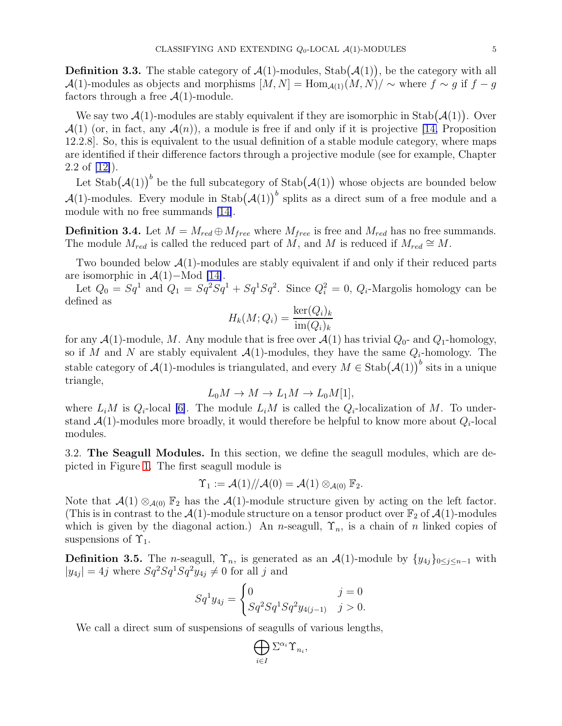**Definition 3.3.** The stable category of  $\mathcal{A}(1)$ -modules, Stab $(\mathcal{A}(1))$ , be the category with all  $\mathcal{A}(1)$ -modules as objects and morphisms  $[M, N] = \text{Hom}_{\mathcal{A}(1)}(M, N) / \sim$  where  $f \sim g$  if  $f - g$ factors through a free  $\mathcal{A}(1)$ -module.

We say two  $\mathcal{A}(1)$ -modules are stably equivalent if they are isomorphic in Stab $(\mathcal{A}(1))$ . Over  $\mathcal{A}(1)$  (or, in fact, any  $\mathcal{A}(n)$ ), a module is free if and only if it is projective [\[14,](#page-36-0) Proposition 12.2.8]. So, this is equivalent to the usual definition of a stable module category, where maps are identified if their difference factors through a projective module (see for example, Chapter 2.2 of [\[12\]](#page-35-8)).

Let  $\text{Stab}(\mathcal{A}(1))^b$  be the full subcategory of  $\text{Stab}(\mathcal{A}(1))$  whose objects are bounded below  $\mathcal{A}(1)$ -modules. Every module in Stab $(\mathcal{A}(1))$ <sup>b</sup> splits as a direct sum of a free module and a module with no free summands [\[14\]](#page-36-0).

**Definition 3.4.** Let  $M = M_{red} \oplus M_{free}$  where  $M_{free}$  is free and  $M_{red}$  has no free summands. The module  $M_{red}$  is called the reduced part of M, and M is reduced if  $M_{red} \cong M$ .

Two bounded below  $\mathcal{A}(1)$ -modules are stably equivalent if and only if their reduced parts are isomorphic in  $\mathcal{A}(1)$ –Mod [\[14\]](#page-36-0).

Let  $Q_0 = Sq^1$  and  $Q_1 = Sq^2Sq^1 + Sq^1Sq^2$ . Since  $Q_i^2 = 0$ ,  $Q_i$ -Margolis homology can be defined as

$$
H_k(M; Q_i) = \frac{\ker(Q_i)_k}{\operatorname{im}(Q_i)_k}
$$

for any  $\mathcal{A}(1)$ -module, M. Any module that is free over  $\mathcal{A}(1)$  has trivial  $Q_0$ - and  $Q_1$ -homology, so if M and N are stably equivalent  $\mathcal{A}(1)$ -modules, they have the same  $Q_i$ -homology. The stable category of  $\mathcal{A}(1)$ -modules is triangulated, and every  $M \in \text{Stab}(\mathcal{A}(1))^{b}$  sits in a unique triangle,

$$
L_0 M \to M \to L_1 M \to L_0 M[1],
$$

where  $L_iM$  is  $Q_i$ -local [\[6\]](#page-35-0). The module  $L_iM$  is called the  $Q_i$ -localization of M. To understand  $\mathcal{A}(1)$ -modules more broadly, it would therefore be helpful to know more about  $Q_i$ -local modules.

<span id="page-4-0"></span>3.2. The Seagull Modules. In this section, we define the seagull modules, which are depicted in Figure [1.](#page-5-0) The first seagull module is

$$
\Upsilon_1 := \mathcal{A}(1)/\!/\mathcal{A}(0) = \mathcal{A}(1) \otimes_{\mathcal{A}(0)} \mathbb{F}_2.
$$

Note that  $\mathcal{A}(1) \otimes_{\mathcal{A}(0)} \mathbb{F}_2$  has the  $\mathcal{A}(1)$ -module structure given by acting on the left factor. (This is in contrast to the  $\mathcal{A}(1)$ -module structure on a tensor product over  $\mathbb{F}_2$  of  $\mathcal{A}(1)$ -modules which is given by the diagonal action.) An n-seagull,  $\Upsilon_n$ , is a chain of n linked copies of suspensions of  $\Upsilon_1$ .

<span id="page-4-1"></span>**Definition 3.5.** The n-seagull,  $\Upsilon_n$ , is generated as an  $\mathcal{A}(1)$ -module by  $\{y_{4j}\}_{0\leq j\leq n-1}$  with  $|y_{4j}| = 4j$  where  $Sq^2Sq^1Sq^2y_{4j} \neq 0$  for all j and

$$
Sq^1 y_{4j} = \begin{cases} 0 & j = 0\\ Sq^2 Sq^1 Sq^2 y_{4(j-1)} & j > 0. \end{cases}
$$

We call a direct sum of suspensions of seagulls of various lengths,

$$
\bigoplus_{i\in I} \Sigma^{\alpha_i} \Upsilon_{n_i},
$$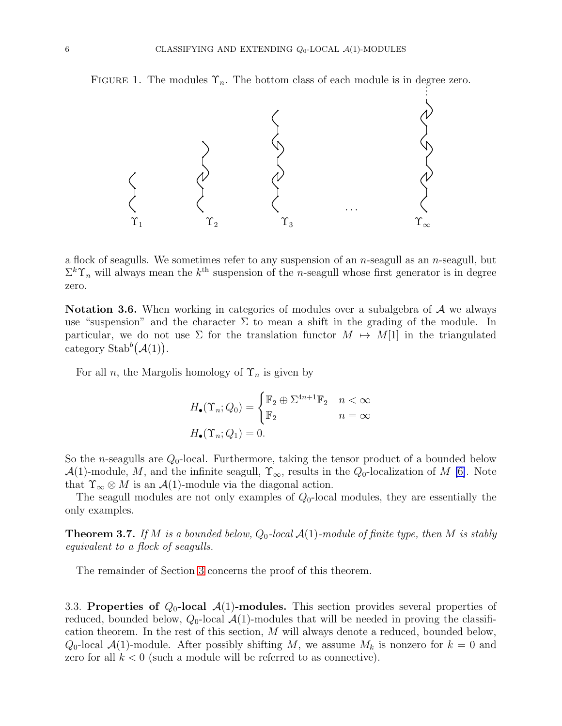FIGURE 1. The modules  $\Upsilon_n$ . The bottom class of each module is in degree zero.

<span id="page-5-0"></span>

a flock of seagulls. We sometimes refer to any suspension of an *n*-seagull as an *n*-seagull, but  $\Sigma^k \Upsilon_n$  will always mean the  $k^{\text{th}}$  suspension of the *n*-seagull whose first generator is in degree zero.

Notation 3.6. When working in categories of modules over a subalgebra of A we always use "suspension" and the character  $\Sigma$  to mean a shift in the grading of the module. In particular, we do not use  $\Sigma$  for the translation functor  $M \mapsto M[1]$  in the triangulated category Stab<sup>b</sup> $(\mathcal{A}(1))$ .

For all n, the Margolis homology of  $\Upsilon_n$  is given by

$$
H_{\bullet}(\Upsilon_n; Q_0) = \begin{cases} \mathbb{F}_2 \oplus \Sigma^{4n+1} \mathbb{F}_2 & n < \infty \\ \mathbb{F}_2 & n = \infty \end{cases}
$$

$$
H_{\bullet}(\Upsilon_n; Q_1) = 0.
$$

So the *n*-seagulls are  $Q_0$ -local. Furthermore, taking the tensor product of a bounded below  $\mathcal{A}(1)$ -module, M, and the infinite seagull,  $\Upsilon_{\infty}$ , results in the  $Q_0$ -localization of M [\[6\]](#page-35-0). Note that  $\Upsilon_{\infty} \otimes M$  is an  $\mathcal{A}(1)$ -module via the diagonal action.

The seagull modules are not only examples of  $Q_0$ -local modules, they are essentially the only examples.

<span id="page-5-1"></span>**Theorem 3.7.** If M is a bounded below,  $Q_0$ -local  $\mathcal{A}(1)$ -module of finite type, then M is stably equivalent to a flock of seagulls.

The remainder of Section [3](#page-3-1) concerns the proof of this theorem.

<span id="page-5-2"></span>3.3. Properties of  $Q_0$ -local  $\mathcal{A}(1)$ -modules. This section provides several properties of reduced, bounded below,  $Q_0$ -local  $\mathcal{A}(1)$ -modules that will be needed in proving the classification theorem. In the rest of this section, M will always denote a reduced, bounded below,  $Q_0$ -local  $\mathcal{A}(1)$ -module. After possibly shifting M, we assume  $M_k$  is nonzero for  $k = 0$  and zero for all  $k < 0$  (such a module will be referred to as connective).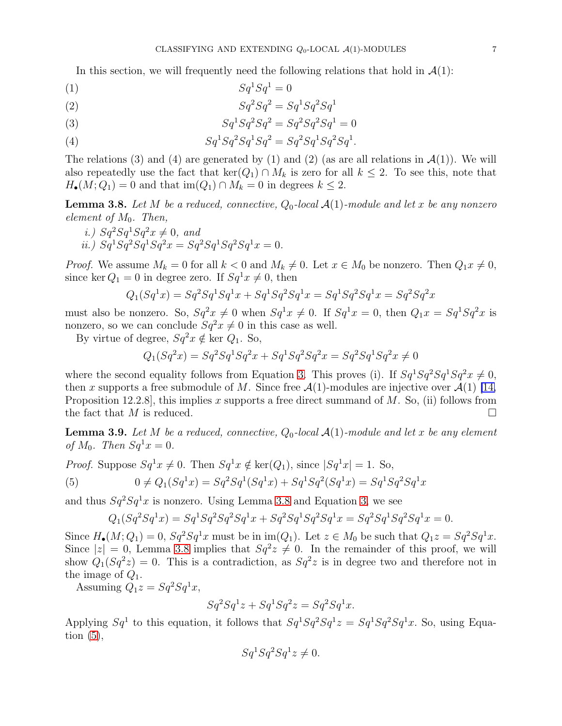In this section, we will frequently need the following relations that hold in  $\mathcal{A}(1)$ :

$$
(1) \t Sq1Sq1 = 0
$$

$$
(2) \qquad \qquad Sq^2Sq^2 = Sq^1Sq^2Sq^1
$$

<span id="page-6-0"></span>(3) 
$$
Sq^{1}Sq^{2}Sq^{2} = Sq^{2}Sq^{2}Sq^{1} = 0
$$

(4) 
$$
Sq^{1}Sq^{2}Sq^{1}Sq^{2} = Sq^{2}Sq^{1}Sq^{2}Sq^{1}.
$$

The relations (3) and (4) are generated by (1) and (2) (as are all relations in  $\mathcal{A}(1)$ ). We will also repeatedly use the fact that  $\ker(Q_1) \cap M_k$  is zero for all  $k \leq 2$ . To see this, note that  $H_{\bullet}(M; Q_1) = 0$  and that  $\text{im}(Q_1) \cap M_k = 0$  in degrees  $k \leq 2$ .

<span id="page-6-1"></span>**Lemma 3.8.** Let M be a reduced, connective,  $Q_0$ -local  $\mathcal{A}(1)$ -module and let x be any nonzero element of  $M_0$ . Then,

i.)  $Sq^2Sq^1Sq^2x \neq 0$ , and ii.)  $Sq^1 Sq^2 Sq^1 Sq^2x = Sq^2 Sq^1 Sq^2Sq^1x = 0.$ 

*Proof.* We assume  $M_k = 0$  for all  $k < 0$  and  $M_k \neq 0$ . Let  $x \in M_0$  be nonzero. Then  $Q_1 x \neq 0$ , since ker  $Q_1 = 0$  in degree zero. If  $Sq^1x \neq 0$ , then

$$
Q_1(Sq^1x) = Sq^2Sq^1Sq^1x + Sq^1Sq^2Sq^1x = Sq^1Sq^2Sq^1x = Sq^2Sq^2x
$$

must also be nonzero. So,  $Sq^2x \neq 0$  when  $Sq^1x \neq 0$ . If  $Sq^1x = 0$ , then  $Q_1x = Sq^1Sq^2x$  is nonzero, so we can conclude  $Sq^2x \neq 0$  in this case as well.

By virtue of degree,  $Sq^2x \notin \text{ker } Q_1$ . So,

$$
Q_1(Sq^2x) = Sq^2Sq^1Sq^2x + Sq^1Sq^2Sq^2x = Sq^2Sq^1Sq^2x \neq 0
$$

where the second equality follows from Equation [3.](#page-6-0) This proves (i). If  $Sq^1Sq^2Sq^1Sq^2x \neq 0$ , then x supports a free submodule of M. Since free  $\mathcal{A}(1)$ -modules are injective over  $\mathcal{A}(1)$  [\[14,](#page-36-0) Proposition 12.2.8, this implies x supports a free direct summand of  $M$ . So, (ii) follows from the fact that M is reduced.  $\square$ 

<span id="page-6-3"></span>**Lemma 3.9.** Let M be a reduced, connective,  $Q_0$ -local  $\mathcal{A}(1)$ -module and let x be any element of  $M_0$ . Then  $Sq^1x = 0$ .

<span id="page-6-2"></span>*Proof.* Suppose 
$$
Sq^1x \neq 0
$$
. Then  $Sq^1x \notin \text{ker}(Q_1)$ , since  $|Sq^1x| = 1$ . So,  
(5)  $0 \neq Q_1(Sq^1x) = Sq^2Sq^1(Sq^1x) + Sq^1Sq^2(Sq^1x) = Sq^1Sq^2Sq^1x$ 

and thus  $Sq^2Sq^1x$  is nonzero. Using Lemma [3.8](#page-6-1) and Equation [3,](#page-6-0) we see

$$
Q_1(Sq^2Sq^1x) = Sq^1Sq^2Sq^2Sq^1x + Sq^2Sq^1Sq^2Sq^1x = Sq^2Sq^1Sq^2Sq^1x = 0.
$$

Since  $H_{\bullet}(M; Q_1) = 0$ ,  $Sq^2Sq^1x$  must be in im $(Q_1)$ . Let  $z \in M_0$  be such that  $Q_1z = Sq^2Sq^1x$ . Since  $|z|=0$ , Lemma [3.8](#page-6-1) implies that  $Sq^2z \neq 0$ . In the remainder of this proof, we will show  $Q_1(Sq^2z) = 0$ . This is a contradiction, as  $Sq^2z$  is in degree two and therefore not in the image of  $Q_1$ .

Assuming  $Q_1z = Sq^2Sq^1x$ ,

$$
Sq^2Sq^1z + Sq^1Sq^2z = Sq^2Sq^1x.
$$

Applying  $Sq^1$  to this equation, it follows that  $Sq^1Sq^2Sq^1z = Sq^1Sq^2Sq^1x$ . So, using Equation  $(5)$ ,

$$
Sq^1 Sq^2 Sq^1 z \neq 0.
$$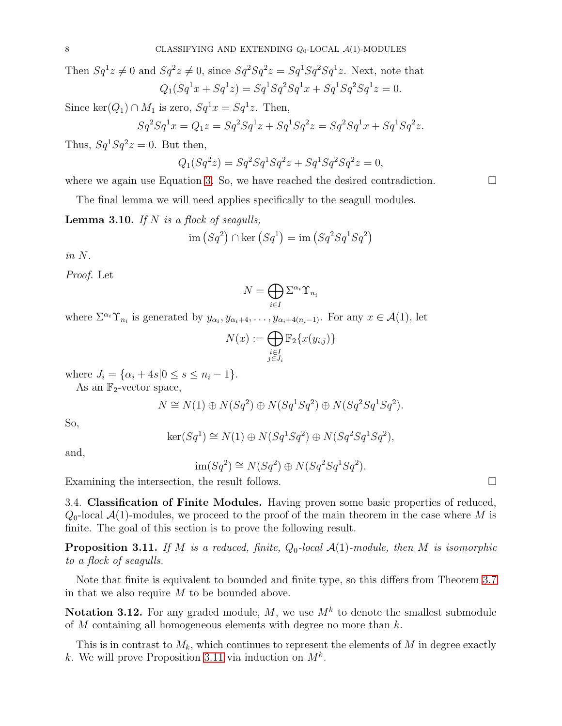Then  $Sq^1z \neq 0$  and  $Sq^2z \neq 0$ , since  $Sq^2Sq^2z = Sq^1Sq^2Sq^1z$ . Next, note that  $Q_1(Sq^1x + Sq^1z) = Sq^1Sq^2Sq^1x + Sq^1Sq^2Sq^1z = 0.$ 

Since  $\ker(Q_1) \cap M_1$  is zero,  $Sq^1x = Sq^1z$ . Then,

$$
Sq^2Sq^1x = Q_1z = Sq^2Sq^1z + Sq^1Sq^2z = Sq^2Sq^1x + Sq^1Sq^2z.
$$

Thus,  $Sq^1 Sq^2 z = 0$ . But then,

$$
Q_1(Sq^2z) = Sq^2Sq^1Sq^2z + Sq^1Sq^2Sq^2z = 0,
$$

where we again use Equation [3.](#page-6-0) So, we have reached the desired contradiction.  $\Box$ 

The final lemma we will need applies specifically to the seagull modules.

<span id="page-7-2"></span>**Lemma 3.10.** If N is a flock of seagulls,

$$
\text{im}\left(Sq^2\right) \cap \text{ker}\left(Sq^1\right) = \text{im}\left(Sq^2Sq^1Sq^2\right)
$$

in N.

Proof. Let

$$
N=\bigoplus_{i\in I}\Sigma^{\alpha_i}\Upsilon_{n_i}
$$

where  $\Sigma^{\alpha_i} \Upsilon_{n_i}$  is generated by  $y_{\alpha_i}, y_{\alpha_i+4}, \ldots, y_{\alpha_i+4(n_i-1)}$ . For any  $x \in \mathcal{A}(1)$ , let

$$
N(x) := \bigoplus_{\substack{i \in I \\ j \in J_i}} \mathbb{F}_2\{x(y_{i,j})\}
$$

where  $J_i = \{ \alpha_i + 4s | 0 \leq s \leq n_i - 1 \}.$ 

As an  $\mathbb{F}_2$ -vector space,

$$
N \cong N(1) \oplus N(Sq^2) \oplus N(Sq^1Sq^2) \oplus N(Sq^2Sq^1Sq^2).
$$

So,

$$
\ker(Sq^1) \cong N(1) \oplus N(Sq^1Sq^2) \oplus N(Sq^2Sq^1Sq^2),
$$

and,

$$
\operatorname{im}(Sq^2) \cong N(Sq^2) \oplus N(Sq^2Sq^1Sq^2).
$$

<span id="page-7-0"></span>Examining the intersection, the result follows.

3.4. Classification of Finite Modules. Having proven some basic properties of reduced,  $Q_0$ -local  $\mathcal{A}(1)$ -modules, we proceed to the proof of the main theorem in the case where M is finite. The goal of this section is to prove the following result.

<span id="page-7-1"></span>**Proposition 3.11.** If M is a reduced, finite,  $Q_0$ -local  $\mathcal{A}(1)$ -module, then M is isomorphic to a flock of seagulls.

Note that finite is equivalent to bounded and finite type, so this differs from Theorem [3.7](#page-5-1) in that we also require  $M$  to be bounded above.

Notation 3.12. For any graded module, M, we use  $M^k$  to denote the smallest submodule of  $M$  containing all homogeneous elements with degree no more than  $k$ .

This is in contrast to  $M_k$ , which continues to represent the elements of M in degree exactly k. We will prove Proposition [3.11](#page-7-1) via induction on  $M^k$ .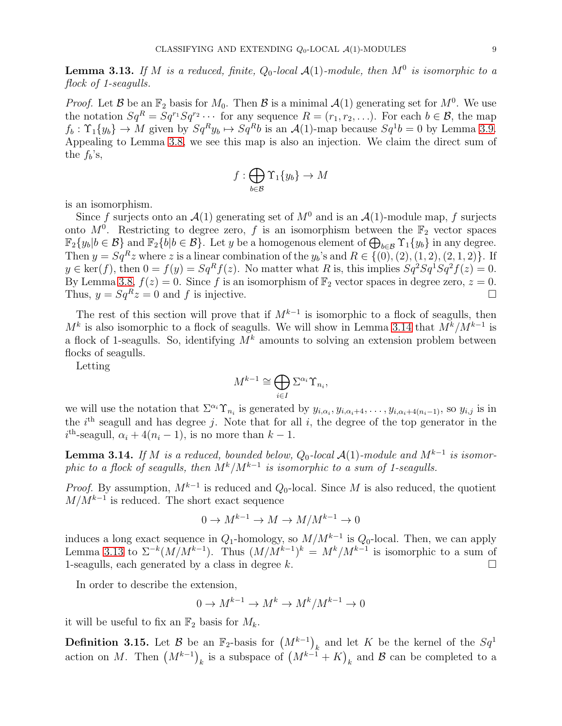<span id="page-8-1"></span>**Lemma 3.13.** If M is a reduced, finite,  $Q_0$ -local  $\mathcal{A}(1)$ -module, then  $M^0$  is isomorphic to a flock of 1-seagulls.

*Proof.* Let B be an  $\mathbb{F}_2$  basis for  $M_0$ . Then B is a minimal  $\mathcal{A}(1)$  generating set for  $M^0$ . We use the notation  $Sq^R = Sq^{r_1}Sq^{r_2} \cdots$  for any sequence  $R = (r_1, r_2, \ldots)$ . For each  $b \in \mathcal{B}$ , the map  $f_b: \Upsilon_1\{y_b\} \to M$  given by  $Sq^R y_b \mapsto Sq^R b$  is an  $\mathcal{A}(1)$ -map because  $Sq^1 b = 0$  by Lemma [3.9.](#page-6-3) Appealing to Lemma [3.8,](#page-6-1) we see this map is also an injection. We claim the direct sum of the  $f_b$ 's,

$$
f:\bigoplus_{b\in\mathcal{B}}\Upsilon_1\{y_b\}\to M
$$

is an isomorphism.

Since f surjects onto an  $\mathcal{A}(1)$  generating set of  $M^0$  and is an  $\mathcal{A}(1)$ -module map, f surjects onto  $M^0$ . Restricting to degree zero, f is an isomorphism between the  $\mathbb{F}_2$  vector spaces  $\mathbb{F}_2\{y_b | b \in \mathcal{B}\}\$  and  $\mathbb{F}_2\{b | b \in \mathcal{B}\}\$ . Let y be a homogenous element of  $\bigoplus_{b \in \mathcal{B}} \Upsilon_1\{y_b\}$  in any degree. Then  $y = Sq^Rz$  where z is a linear combination of the  $y_b$ 's and  $R \in \{ (0), (2), (1, 2), (2, 1, 2) \}$ . If  $y \in \text{ker}(f)$ , then  $0 = f(y) = Sq<sup>R</sup> f(z)$ . No matter what R is, this implies  $Sq<sup>2</sup> Sq<sup>1</sup> Sq<sup>2</sup> f(z) = 0$ . By Lemma [3.8,](#page-6-1)  $f(z) = 0$ . Since f is an isomorphism of  $\mathbb{F}_2$  vector spaces in degree zero,  $z = 0$ . Thus,  $y = Sq^Rz = 0$  and f is injective.

The rest of this section will prove that if  $M^{k-1}$  is isomorphic to a flock of seagulls, then  $M^k$  is also isomorphic to a flock of seagulls. We will show in Lemma [3.14](#page-8-0) that  $M^k/M^{k-1}$  is a flock of 1-seagulls. So, identifying  $\overrightarrow{M}^k$  amounts to solving an extension problem between flocks of seagulls.

Letting

$$
M^{k-1}\cong \bigoplus_{i\in I} \Sigma^{\alpha_i} \Upsilon_{n_i},
$$

we will use the notation that  $\Sigma^{\alpha_i} \Upsilon_{n_i}$  is generated by  $y_{i,\alpha_i}, y_{i,\alpha_i+4}, \ldots, y_{i,\alpha_i+4(n_i-1)},$  so  $y_{i,j}$  is in the  $i<sup>th</sup>$  seagull and has degree j. Note that for all i, the degree of the top generator in the  $i<sup>th</sup>$ -seagull,  $\alpha_i + 4(n_i - 1)$ , is no more than  $k - 1$ .

<span id="page-8-0"></span>**Lemma 3.14.** If M is a reduced, bounded below,  $Q_0$ -local  $\mathcal{A}(1)$ -module and  $M^{k-1}$  is isomorphic to a flock of seagulls, then  $M^k/M^{k-1}$  is isomorphic to a sum of 1-seagulls.

*Proof.* By assumption,  $M^{k-1}$  is reduced and  $Q_0$ -local. Since M is also reduced, the quotient  $M/M^{k-1}$  is reduced. The short exact sequence

$$
0 \to M^{k-1} \to M \to M/M^{k-1} \to 0
$$

induces a long exact sequence in  $Q_1$ -homology, so  $M/M^{k-1}$  is  $Q_0$ -local. Then, we can apply Lemma [3.13](#page-8-1) to  $\Sigma^{-k}(M/M^{k-1})$ . Thus  $(M/M^{k-1})^k = M^k/M^{k-1}$  is isomorphic to a sum of 1-seagulls, each generated by a class in degree k.  $\square$ 

In order to describe the extension,

$$
0 \to M^{k-1} \to M^k \to M^k/M^{k-1} \to 0
$$

it will be useful to fix an  $\mathbb{F}_2$  basis for  $M_k$ .

<span id="page-8-2"></span>**Definition 3.15.** Let  $\mathcal{B}$  be an  $\mathbb{F}_2$ -basis for  $(M^{k-1})_k$  and let  $K$  be the kernel of the  $Sq^1$ action on M. Then  $(M^{k-1})_k$  is a subspace of  $(M^{k-1} + K)_k$  and B can be completed to a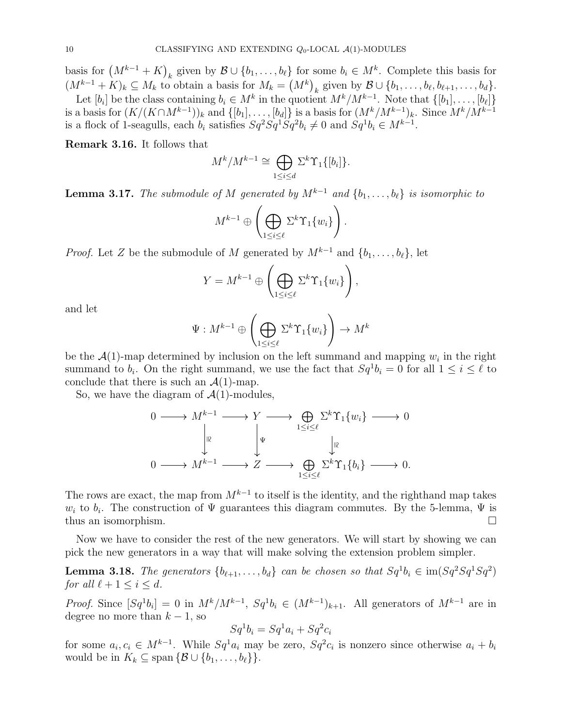basis for  $(M^{k-1} + K)_k$  given by  $\mathcal{B} \cup \{b_1, \ldots, b_\ell\}$  for some  $b_i \in M^k$ . Complete this basis for  $(M^{k-1} + K)_k \subseteq M_k$  to obtain a basis for  $M_k = (M^k)_{k}$  given by  $\mathcal{B} \cup \{b_1, \ldots, b_{\ell}, b_{\ell+1}, \ldots, b_d\}.$ 

Let  $[b_i]$  be the class containing  $b_i \in M^k$  in the quotient  $M^k/M^{k-1}$ . Note that  $\{[b_1], \ldots, [b_\ell]\}$ is a basis for  $(K/(K\cap M^{k-1}))_k$  and  $\{[b_1], \ldots, [b_d]\}$  is a basis for  $(M^k/M^{k-1})_k$ . Since  $M^k/M^{k-1}$ is a flock of 1-seagulls, each  $b_i$  satisfies  $Sq^2Sq^1Sq^2b_i \neq 0$  and  $Sq^1b_i \in M^{k-1}$ .

<span id="page-9-2"></span>Remark 3.16. It follows that

$$
M^k/M^{k-1} \cong \bigoplus_{1 \le i \le d} \Sigma^k \Upsilon_1\{[b_i]\}.
$$

<span id="page-9-0"></span>**Lemma 3.17.** The submodule of M generated by  $M^{k-1}$  and  $\{b_1, \ldots, b_\ell\}$  is isomorphic to

$$
M^{k-1} \oplus \left( \bigoplus_{1 \leq i \leq \ell} \Sigma^k \Upsilon_1 \{w_i\} \right).
$$

*Proof.* Let Z be the submodule of M generated by  $M^{k-1}$  and  $\{b_1, \ldots, b_\ell\}$ , let

$$
Y = M^{k-1} \oplus \left( \bigoplus_{1 \le i \le \ell} \Sigma^k \Upsilon_1 \{w_i\} \right),
$$

and let

$$
\Psi: M^{k-1} \oplus \left( \bigoplus_{1 \le i \le \ell} \Sigma^k \Upsilon_1 \{w_i\} \right) \to M^k
$$

be the  $\mathcal{A}(1)$ -map determined by inclusion on the left summand and mapping  $w_i$  in the right summand to  $b_i$ . On the right summand, we use the fact that  $Sq^1b_i = 0$  for all  $1 \leq i \leq \ell$  to conclude that there is such an  $\mathcal{A}(1)$ -map.

So, we have the diagram of  $\mathcal{A}(1)$ -modules,

$$
0 \longrightarrow M^{k-1} \longrightarrow Y \longrightarrow \bigoplus_{1 \leq i \leq \ell} \Sigma^k \Upsilon_1 \{w_i\} \longrightarrow 0
$$
  

$$
\downarrow^{\mathbb{R}} \qquad \qquad \downarrow^{\Psi} \qquad \qquad \downarrow^{\mathbb{R}}
$$
  

$$
0 \longrightarrow M^{k-1} \longrightarrow Z \longrightarrow \bigoplus_{1 \leq i \leq \ell} \Sigma^k \Upsilon_1 \{b_i\} \longrightarrow 0.
$$

The rows are exact, the map from  $M^{k-1}$  to itself is the identity, and the righthand map takes  $w_i$  to  $b_i$ . The construction of  $\Psi$  guarantees this diagram commutes. By the 5-lemma,  $\Psi$  is thus an isomorphism.  $\square$ 

Now we have to consider the rest of the new generators. We will start by showing we can pick the new generators in a way that will make solving the extension problem simpler.

<span id="page-9-1"></span>**Lemma 3.18.** The generators  $\{b_{\ell+1},...,b_d\}$  can be chosen so that  $Sq^1b_i \in \text{im}(Sq^2Sq^1Sq^2)$ for all  $\ell + 1 \leq i \leq d$ .

*Proof.* Since  $[Sq^1b_i] = 0$  in  $M^k/M^{k-1}$ ,  $Sq^1b_i \in (M^{k-1})_{k+1}$ . All generators of  $M^{k-1}$  are in degree no more than  $k-1$ , so

$$
Sq^1b_i = Sq^1a_i + Sq^2c_i
$$

for some  $a_i, c_i \in M^{k-1}$ . While  $Sq^1a_i$  may be zero,  $Sq^2c_i$  is nonzero since otherwise  $a_i + b_i$ would be in  $K_k \subseteq \text{span} \{ \mathcal{B} \cup \{b_1, \ldots, b_\ell\} \}.$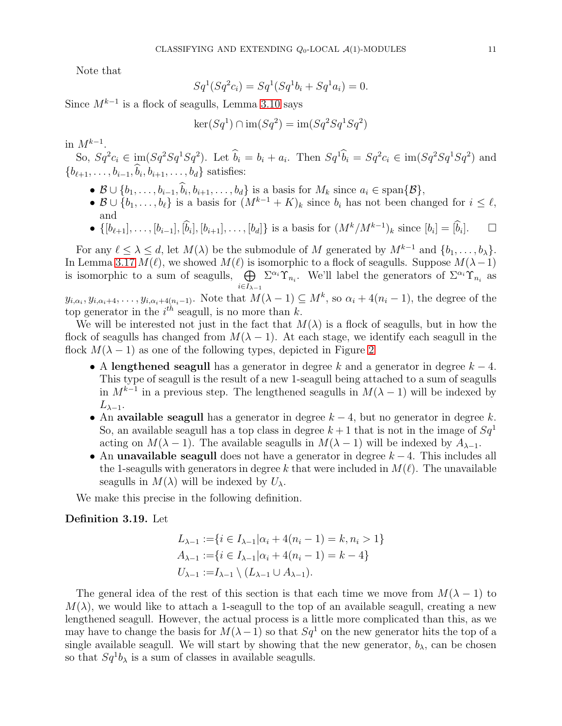Note that

$$
Sq^{1}(Sq^{2}c_{i}) = Sq^{1}(Sq^{1}b_{i} + Sq^{1}a_{i}) = 0.
$$

Since  $M^{k-1}$  is a flock of seagulls, Lemma [3.10](#page-7-2) says

$$
\ker(Sq^1) \cap \operatorname{im}(Sq^2) = \operatorname{im}(Sq^2Sq^1Sq^2)
$$

in  $M^{k-1}$ .

So,  $Sq^{2}c_{i} \in \text{im}(Sq^{2}Sq^{1}Sq^{2})$ . Let  $b_{i} = b_{i} + a_{i}$ . Then  $Sq^{1}b_{i} = Sq^{2}c_{i} \in \text{im}(Sq^{2}Sq^{1}Sq^{2})$  and  ${b_{\ell+1}, \ldots, b_{i-1}, b_i, b_{i+1}, \ldots, b_d}$  satisfies:

- $\mathcal{B} \cup \{b_1, \ldots, b_{i-1}, b_i, b_{i+1}, \ldots, b_d\}$  is a basis for  $M_k$  since  $a_i \in \text{span}\{\mathcal{B}\},$
- $\mathcal{B} \cup \{b_1, \ldots, b_\ell\}$  is a basis for  $(M^{k-1} + K)_k$  since  $b_i$  has not been changed for  $i \leq \ell$ , and
- $\{[b_{\ell+1}], \ldots, [b_{i-1}], [\hat{b}_i], [b_{i+1}], \ldots, [b_d]\}\$ is a basis for  $(M^k/M^{k-1})_k$  since  $[b_i] = [\hat{b}_i]$  $\Box$

For any  $\ell \leq \lambda \leq d$ , let  $M(\lambda)$  be the submodule of M generated by  $M^{k-1}$  and  $\{b_1, \ldots, b_{\lambda}\}.$ In Lemma [3.17](#page-9-0)  $M(\ell)$ , we showed  $M(\ell)$  is isomorphic to a flock of seagulls. Suppose  $M(\lambda-1)$ is isomorphic to a sum of seagulls,  $\bigoplus \Sigma^{\alpha_i} \Upsilon_{n_i}$ . We'll label the generators of  $\Sigma^{\alpha_i} \Upsilon_{n_i}$  as  $i \in I_{\lambda-1}$ 

 $y_{i,\alpha_i}, y_{i,\alpha_i+4}, \ldots, y_{i,\alpha_i+4(n_i-1)}$ . Note that  $M(\lambda-1) \subseteq M^k$ , so  $\alpha_i + 4(n_i-1)$ , the degree of the top generator in the  $i^{th}$  seagull, is no more than k.

We will be interested not just in the fact that  $M(\lambda)$  is a flock of seagulls, but in how the flock of seagulls has changed from  $M(\lambda - 1)$ . At each stage, we identify each seagull in the flock  $M(\lambda - 1)$  as one of the following types, depicted in Figure [2](#page-11-0)

- A lengthened seagull has a generator in degree k and a generator in degree  $k 4$ . This type of seagull is the result of a new 1-seagull being attached to a sum of seagulls in  $M^{k-1}$  in a previous step. The lengthened seagulls in  $M(\lambda - 1)$  will be indexed by  $L_{\lambda-1}$ .
- An available seagull has a generator in degree  $k 4$ , but no generator in degree k. So, an available seagull has a top class in degree  $k+1$  that is not in the image of  $Sq<sup>1</sup>$ acting on  $M(\lambda - 1)$ . The available seagulls in  $M(\lambda - 1)$  will be indexed by  $A_{\lambda-1}$ .
- An unavailable seagull does not have a generator in degree  $k-4$ . This includes all the 1-seagulls with generators in degree k that were included in  $M(\ell)$ . The unavailable seagulls in  $M(\lambda)$  will be indexed by  $U_{\lambda}$ .

We make this precise in the following definition.

# <span id="page-10-0"></span>Definition 3.19. Let

$$
L_{\lambda-1} := \{ i \in I_{\lambda-1} | \alpha_i + 4(n_i - 1) = k, n_i > 1 \}
$$
  

$$
A_{\lambda-1} := \{ i \in I_{\lambda-1} | \alpha_i + 4(n_i - 1) = k - 4 \}
$$
  

$$
U_{\lambda-1} := I_{\lambda-1} \setminus (L_{\lambda-1} \cup A_{\lambda-1}).
$$

The general idea of the rest of this section is that each time we move from  $M(\lambda - 1)$  to  $M(\lambda)$ , we would like to attach a 1-seagull to the top of an available seagull, creating a new lengthened seagull. However, the actual process is a little more complicated than this, as we may have to change the basis for  $M(\lambda-1)$  so that  $Sq^1$  on the new generator hits the top of a single available seagull. We will start by showing that the new generator,  $b_{\lambda}$ , can be chosen so that  $Sq^1b_\lambda$  is a sum of classes in available seagulls.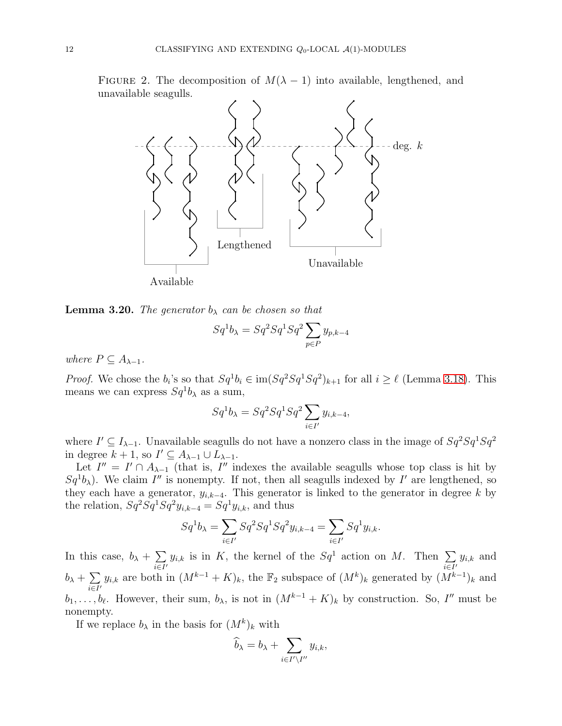FIGURE 2. The decomposition of  $M(\lambda - 1)$  into available, lengthened, and unavailable seagulls.

<span id="page-11-0"></span>

Available

<span id="page-11-1"></span>**Lemma 3.20.** The generator  $b_{\lambda}$  can be chosen so that

$$
Sq^1b_\lambda = Sq^2Sq^1Sq^2 \sum_{p \in P} y_{p,k-4}
$$

where  $P \subseteq A_{\lambda-1}$ .

*Proof.* We chose the  $b_i$ 's so that  $Sq^1b_i \in im(Sq^2Sq^1Sq^2)_{k+1}$  for all  $i \geq \ell$  (Lemma [3.18\)](#page-9-1). This means we can express  $Sq^1b_\lambda$  as a sum,

$$
Sq^1b_\lambda = Sq^2Sq^1Sq^2 \sum_{i \in I'} y_{i,k-4},
$$

where  $I' \subseteq I_{\lambda-1}$ . Unavailable seagulls do not have a nonzero class in the image of  $Sq^2Sq^1Sq^2$ in degree  $k + 1$ , so  $I' \subseteq A_{\lambda-1} \cup L_{\lambda-1}$ .

Let  $I'' = I' \cap A_{\lambda-1}$  (that is, I'' indexes the available seagulls whose top class is hit by  $Sq^1b_\lambda$ ). We claim I'' is nonempty. If not, then all seagulls indexed by I' are lengthened, so they each have a generator,  $y_{i,k-4}$ . This generator is linked to the generator in degree k by the relation,  $Sq^2 Sq^1 Sq^2 y_{i,k-4} = Sq^1 y_{i,k}$ , and thus

$$
Sq^{1}b_{\lambda} = \sum_{i \in I'} Sq^{2}Sq^{1}Sq^{2}y_{i,k-4} = \sum_{i \in I'} Sq^{1}y_{i,k}.
$$

In this case,  $b_{\lambda} + \sum$  $\sum_{i\in I'} y_{i,k}$  is in K, the kernel of the  $Sq^1$  action on M. Then  $\sum_{i\in I'}$  $\sum_{i\in I'} y_{i,k}$  and  $b_{\lambda} + \sum$  $\sum_{i\in I'} y_{i,k}$  are both in  $(M^{k-1} + K)_k$ , the  $\mathbb{F}_2$  subspace of  $(M^k)_k$  generated by  $(M^{k-1})_k$  and  $b_1, \ldots, b_\ell$ . However, their sum,  $b_\lambda$ , is not in  $(M^{k-1} + K)_k$  by construction. So, I'' must be nonempty.

If we replace  $b_{\lambda}$  in the basis for  $(M^k)_k$  with

$$
\widehat{b}_{\lambda} = b_{\lambda} + \sum_{i \in I' \setminus I''} y_{i,k},
$$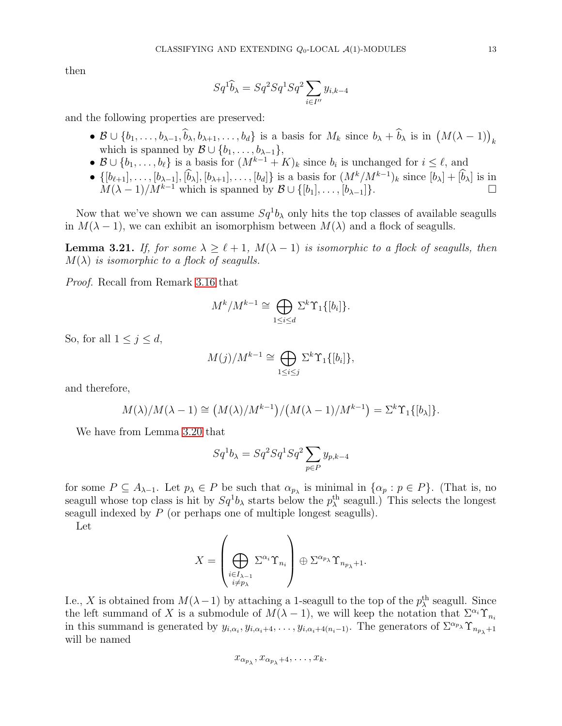then

$$
Sq^1\widehat{b}_\lambda = Sq^2Sq^1Sq^2 \sum_{i \in I''} y_{i,k-4}
$$

and the following properties are preserved:

- $\mathcal{B} \cup \{b_1,\ldots,b_{\lambda-1},\widehat{b}_\lambda,b_{\lambda+1},\ldots,b_d\}$  is a basis for  $M_k$  since  $b_\lambda + \widehat{b}_\lambda$  is in  $(M(\lambda-1))_k$ which is spanned by  $\mathcal{B} \cup \{b_1, \ldots, b_{\lambda-1}\},$
- $\mathcal{B} \cup \{b_1, \ldots, b_\ell\}$  is a basis for  $(M^{k-1} + K)_k$  since  $b_i$  is unchanged for  $i \leq \ell$ , and
- $\{[b_{\ell+1}], \ldots, [b_{\lambda-1}], [\dot{b}_{\lambda}], [b_{\lambda+1}], \ldots, [b_d]\}$  is a basis for  $(M^k/M^{k-1})_k$  since  $[b_{\lambda}] + [\dot{b}_{\lambda}]$  is in  $M(\lambda - 1)/M^{k-1}$  which is spanned by  $\mathcal{B} \cup \{[b_1], \ldots, [b_{\lambda-1}]\}.$

Now that we've shown we can assume  $Sq^1b_\lambda$  only hits the top classes of available seagulls in  $M(\lambda - 1)$ , we can exhibit an isomorphism between  $M(\lambda)$  and a flock of seagulls.

<span id="page-12-0"></span>**Lemma 3.21.** If, for some  $\lambda \geq \ell + 1$ ,  $M(\lambda - 1)$  is isomorphic to a flock of seagulls, then  $M(\lambda)$  is isomorphic to a flock of seagulls.

Proof. Recall from Remark [3.16](#page-9-2) that

$$
M^k/M^{k-1} \cong \bigoplus_{1 \le i \le d} \Sigma^k \Upsilon_1\{[b_i]\}.
$$

So, for all  $1 \leq j \leq d$ ,

$$
M(j)/M^{k-1} \cong \bigoplus_{1 \leq i \leq j} \Sigma^k \Upsilon_1\{[b_i]\},
$$

and therefore,

$$
M(\lambda)/M(\lambda-1) \cong (M(\lambda)/M^{k-1})/(M(\lambda-1)/M^{k-1}) = \Sigma^k \Upsilon_1\{[b_{\lambda}]\}.
$$

We have from Lemma [3.20](#page-11-1) that

$$
Sq^1b_\lambda = Sq^2Sq^1Sq^2 \sum_{p \in P} y_{p,k-4}
$$

for some  $P \subseteq A_{\lambda-1}$ . Let  $p_{\lambda} \in P$  be such that  $\alpha_{p_{\lambda}}$  is minimal in  $\{\alpha_p : p \in P\}$ . (That is, no seagull whose top class is hit by  $Sq^1b_\lambda$  starts below the  $p_\lambda^{\text{th}}$  seagull.) This selects the longest seagull indexed by P (or perhaps one of multiple longest seagulls).

Let

$$
X = \left(\bigoplus_{\substack{i \in I_{\lambda-1} \\ i \neq p_{\lambda}}} \Sigma^{\alpha_i} \Upsilon_{n_i}\right) \oplus \Sigma^{\alpha_{p_{\lambda}}} \Upsilon_{n_{p_{\lambda}}+1}.
$$

I.e., X is obtained from  $M(\lambda-1)$  by attaching a 1-seagull to the top of the  $p_{\lambda}^{\text{th}}$  seagull. Since the left summand of X is a submodule of  $M(\lambda - 1)$ , we will keep the notation that  $\Sigma^{\alpha_i} \Upsilon_{n_i}$ in this summand is generated by  $y_{i,\alpha_i}, y_{i,\alpha_i+4}, \ldots, y_{i,\alpha_i+4(n_i-1)}$ . The generators of  $\Sigma^{\alpha_{p_\lambda}} \Upsilon_{n_{p_\lambda}+1}$ will be named

$$
x_{\alpha_{p_{\lambda}}}, x_{\alpha_{p_{\lambda}}+4}, \ldots, x_k.
$$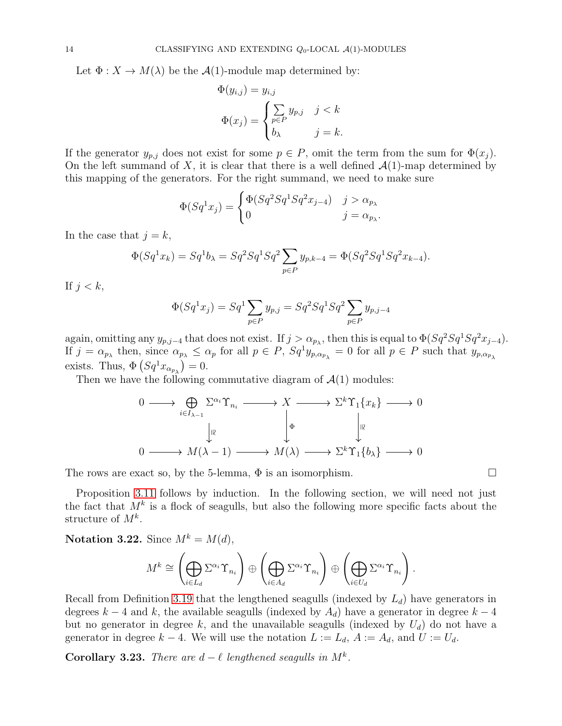Let  $\Phi: X \to M(\lambda)$  be the  $\mathcal{A}(1)$ -module map determined by:

$$
\Phi(y_{i,j}) = y_{i,j}
$$
  

$$
\Phi(x_j) = \begin{cases} \sum_{p \in P} y_{p,j} & j < k \\ b_{\lambda} & j = k. \end{cases}
$$

If the generator  $y_{p,j}$  does not exist for some  $p \in P$ , omit the term from the sum for  $\Phi(x_j)$ . On the left summand of X, it is clear that there is a well defined  $\mathcal{A}(1)$ -map determined by this mapping of the generators. For the right summand, we need to make sure

$$
\Phi(Sq^1x_j) = \begin{cases} \Phi(Sq^2Sq^1Sq^2x_{j-4}) & j > \alpha_{p_\lambda} \\ 0 & j = \alpha_{p_\lambda}.\end{cases}
$$

In the case that  $j = k$ ,

$$
\Phi(Sq^1x_k) = Sq^1b_{\lambda} = Sq^2Sq^1Sq^2 \sum_{p \in P} y_{p,k-4} = \Phi(Sq^2Sq^1Sq^2 x_{k-4}).
$$

If  $j < k$ ,

$$
\Phi(Sq^1x_j) = Sq^1 \sum_{p \in P} y_{p,j} = Sq^2Sq^1Sq^2 \sum_{p \in P} y_{p,j-4}
$$

again, omitting any  $y_{p,j-4}$  that does not exist. If  $j > \alpha_{p_\lambda}$ , then this is equal to  $\Phi(Sq^2Sq^1Sq^2x_{j-4})$ . If  $j = \alpha_{p_{\lambda}}$  then, since  $\alpha_{p_{\lambda}} \leq \alpha_p$  for all  $p \in P$ ,  $Sq^1y_{p,\alpha_{p_{\lambda}}} = 0$  for all  $p \in P$  such that  $y_{p,\alpha_{p_{\lambda}}}$ exists. Thus,  $\Phi(Sq^1x_{\alpha_{p_\lambda}})=0$ .

Then we have the following commutative diagram of  $\mathcal{A}(1)$  modules:

$$
\begin{array}{ccc}\n0 & \longrightarrow & \bigoplus_{i \in I_{\lambda-1}} \Sigma^{\alpha_i} \Upsilon_{n_i} & \longrightarrow & X & \longrightarrow & \Sigma^k \Upsilon_1 \{x_k\} & \longrightarrow & 0 \\
& & \downarrow^{\mathbb{R}} & & \downarrow^{\mathbb{R}} & & \downarrow^{\mathbb{R}} \\
0 & \longrightarrow & M(\lambda - 1) & \longrightarrow & M(\lambda) & \longrightarrow & \Sigma^k \Upsilon_1 \{b_\lambda\} & \longrightarrow & 0\n\end{array}
$$

The rows are exact so, by the 5-lemma,  $\Phi$  is an isomorphism.

Proposition [3.11](#page-7-1) follows by induction. In the following section, we will need not just the fact that  $M^k$  is a flock of seagulls, but also the following more specific facts about the structure of  $M^k$ .

<span id="page-13-0"></span>Notation 3.22. Since  $M^k = M(d)$ ,

$$
M^k \cong \left(\bigoplus_{i\in L_d} \Sigma^{\alpha_i} \Upsilon_{n_i}\right) \oplus \left(\bigoplus_{i\in A_d} \Sigma^{\alpha_i} \Upsilon_{n_i}\right) \oplus \left(\bigoplus_{i\in U_d} \Sigma^{\alpha_i} \Upsilon_{n_i}\right).
$$

Recall from Definition [3.19](#page-10-0) that the lengthened seagulls (indexed by  $L_d$ ) have generators in degrees  $k-4$  and k, the available seagulls (indexed by  $A_d$ ) have a generator in degree  $k-4$ but no generator in degree k, and the unavailable seagulls (indexed by  $U_d$ ) do not have a generator in degree  $k - 4$ . We will use the notation  $L := L_d$ ,  $A := A_d$ , and  $U := U_d$ .

<span id="page-13-1"></span>Corollary 3.23. There are  $d - \ell$  lengthened seagulls in  $M^k$ .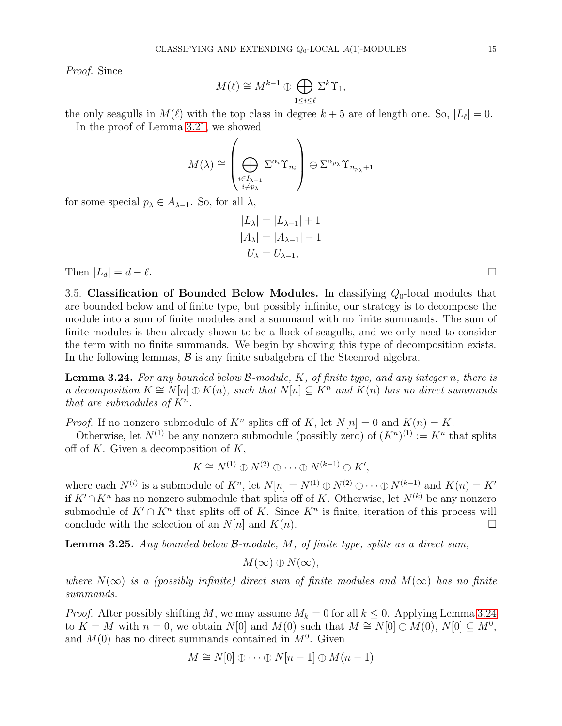Proof. Since

$$
M(\ell) \cong M^{k-1} \oplus \bigoplus_{1 \le i \le \ell} \Sigma^k \Upsilon_1,
$$

the only seagulls in  $M(\ell)$  with the top class in degree  $k+5$  are of length one. So,  $|L_{\ell}| = 0$ . In the proof of Lemma [3.21,](#page-12-0) we showed

$$
M(\lambda) \cong \left(\bigoplus_{\substack{i \in I_{\lambda-1} \\ i \neq p_{\lambda}}} \Sigma^{\alpha_i} \Upsilon_{n_i}\right) \oplus \Sigma^{\alpha_{p_{\lambda}}} \Upsilon_{n_{p_{\lambda}}+1}
$$

for some special  $p_{\lambda} \in A_{\lambda-1}$ . So, for all  $\lambda$ ,

$$
|L_{\lambda}| = |L_{\lambda - 1}| + 1
$$
  

$$
|A_{\lambda}| = |A_{\lambda - 1}| - 1
$$
  

$$
U_{\lambda} = U_{\lambda - 1},
$$

<span id="page-14-0"></span>Then  $|L_d| = d - \ell$ .

3.5. Classification of Bounded Below Modules. In classifying  $Q_0$ -local modules that are bounded below and of finite type, but possibly infinite, our strategy is to decompose the module into a sum of finite modules and a summand with no finite summands. The sum of finite modules is then already shown to be a flock of seagulls, and we only need to consider the term with no finite summands. We begin by showing this type of decomposition exists. In the following lemmas,  $\beta$  is any finite subalgebra of the Steenrod algebra.

<span id="page-14-1"></span>**Lemma 3.24.** For any bounded below  $\mathcal{B}\text{-module}, K$ , of finite type, and any integer n, there is a decomposition  $K \cong N[n] \oplus K(n)$ , such that  $N[n] \subseteq K^n$  and  $K(n)$  has no direct summands that are submodules of  $K<sup>n</sup>$ .

*Proof.* If no nonzero submodule of  $K^n$  splits off of K, let  $N[n] = 0$  and  $K(n) = K$ .

Otherwise, let  $N^{(1)}$  be any nonzero submodule (possibly zero) of  $(K^n)^{(1)} := K^n$  that splits off of  $K$ . Given a decomposition of  $K$ ,

$$
K \cong N^{(1)} \oplus N^{(2)} \oplus \cdots \oplus N^{(k-1)} \oplus K',
$$

where each  $N^{(i)}$  is a submodule of  $K^n$ , let  $N[n] = N^{(1)} \oplus N^{(2)} \oplus \cdots \oplus N^{(k-1)}$  and  $K(n) = K'$ if  $K' \cap K^n$  has no nonzero submodule that splits off of K. Otherwise, let  $N^{(k)}$  be any nonzero submodule of  $K' \cap K^n$  that splits off of K. Since  $K^n$  is finite, iteration of this process will conclude with the selection of an  $N[n]$  and  $K(n)$ .

Lemma 3.25. Any bounded below B-module, M, of finite type, splits as a direct sum,

$$
M(\infty) \oplus N(\infty),
$$

where  $N(\infty)$  is a (possibly infinite) direct sum of finite modules and  $M(\infty)$  has no finite summands.

*Proof.* After possibly shifting M, we may assume  $M_k = 0$  for all  $k \leq 0$ . Applying Lemma [3.24](#page-14-1) to  $K = M$  with  $n = 0$ , we obtain  $N[0]$  and  $M(0)$  such that  $M \cong N[0] \oplus M(0)$ ,  $N[0] \subseteq M^0$ , and  $M(0)$  has no direct summands contained in  $M<sup>0</sup>$ . Given

$$
M \cong N[0] \oplus \cdots \oplus N[n-1] \oplus M(n-1)
$$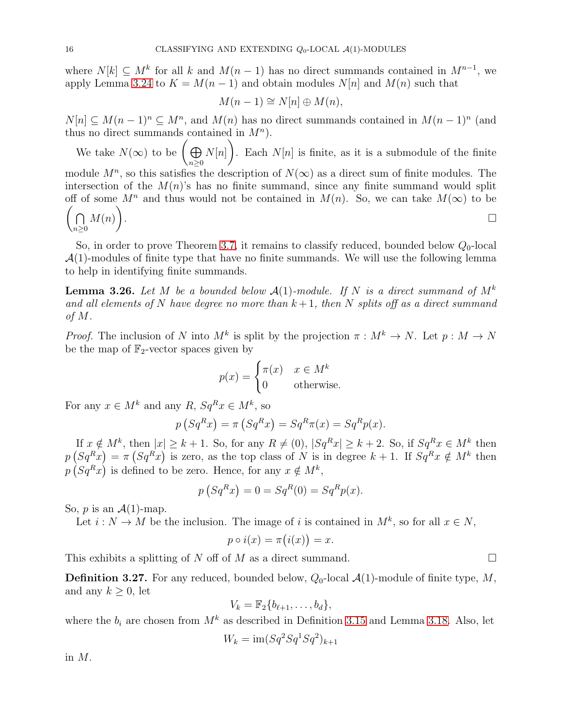where  $N[k] \subseteq M^k$  for all k and  $M(n-1)$  has no direct summands contained in  $M^{n-1}$ , we apply Lemma [3.24](#page-14-1) to  $K = M(n-1)$  and obtain modules  $N[n]$  and  $M(n)$  such that

$$
M(n-1) \cong N[n] \oplus M(n),
$$

 $N[n] \subseteq M(n-1)^n \subseteq M^n$ , and  $M(n)$  has no direct summands contained in  $M(n-1)^n$  (and thus no direct summands contained in  $M^n$ ).

We take  $N(\infty)$  to be  $\left(\bigoplus$  $n \geq 0$  $N[n]$  $\lambda$ . Each  $N[n]$  is finite, as it is a submodule of the finite module  $M^n$ , so this satisfies the description of  $N(\infty)$  as a direct sum of finite modules. The intersection of the  $M(n)$ 's has no finite summand, since any finite summand would split off of some  $M^n$  and thus would not be contained in  $M(n)$ . So, we can take  $M(\infty)$  to be  $(n)$  $n \geq 0$  $M(n)$  $\lambda$ .<br>1990 - Paul Barbara, politikar eta aldera eta aldera eta aldera eta aldera eta aldera eta aldera eta aldera<br>1990 - Paul Barbara, profesioa eta aldera eta aldera eta aldera eta aldera eta aldera eta aldera eta aldera

So, in order to prove Theorem [3.7,](#page-5-1) it remains to classify reduced, bounded below  $Q_0$ -local  $\mathcal{A}(1)$ -modules of finite type that have no finite summands. We will use the following lemma to help in identifying finite summands.

<span id="page-15-0"></span>**Lemma 3.26.** Let M be a bounded below  $\mathcal{A}(1)$ -module. If N is a direct summand of  $M^k$ and all elements of N have degree no more than  $k+1$ , then N splits off as a direct summand of M.

*Proof.* The inclusion of N into  $M^k$  is split by the projection  $\pi : M^k \to N$ . Let  $p : M \to N$ be the map of  $\mathbb{F}_2$ -vector spaces given by

$$
p(x) = \begin{cases} \pi(x) & x \in M^k \\ 0 & \text{otherwise.} \end{cases}
$$

For any  $x \in M^k$  and any  $R$ ,  $Sq^R x \in M^k$ , so

$$
p(Sq^{R}x) = \pi(Sq^{R}x) = Sq^{R}\pi(x) = Sq^{R}p(x).
$$

If  $x \notin M^k$ , then  $|x| \geq k+1$ . So, for any  $R \neq (0)$ ,  $|Sq^R x| \geq k+2$ . So, if  $Sq^R x \in M^k$  then  $p(Sq^Rx) = \pi(Sq^Rx)$  is zero, as the top class of N is in degree  $k+1$ . If  $Sq^Rx \notin M^k$  then  $p(Sq^Rx)$  is defined to be zero. Hence, for any  $x \notin M^k$ ,

$$
p(SqRx) = 0 = SqR(0) = SqRp(x).
$$

So,  $p$  is an  $\mathcal{A}(1)$ -map.

Let  $i: N \to M$  be the inclusion. The image of i is contained in  $M^k$ , so for all  $x \in N$ ,

$$
p \circ i(x) = \pi(i(x)) = x.
$$

This exhibits a splitting of N off of M as a direct summand.  $\square$ 

**Definition 3.27.** For any reduced, bounded below,  $Q_0$ -local  $\mathcal{A}(1)$ -module of finite type, M, and any  $k \geq 0$ , let

$$
V_k = \mathbb{F}_2\{b_{\ell+1},\ldots,b_d\},\
$$

where the  $b_i$  are chosen from  $M^k$  as described in Definition [3.15](#page-8-2) and Lemma [3.18.](#page-9-1) Also, let

$$
W_k = \operatorname{im}(Sq^2 Sq^1 Sq^2)_{k+1}
$$

in M.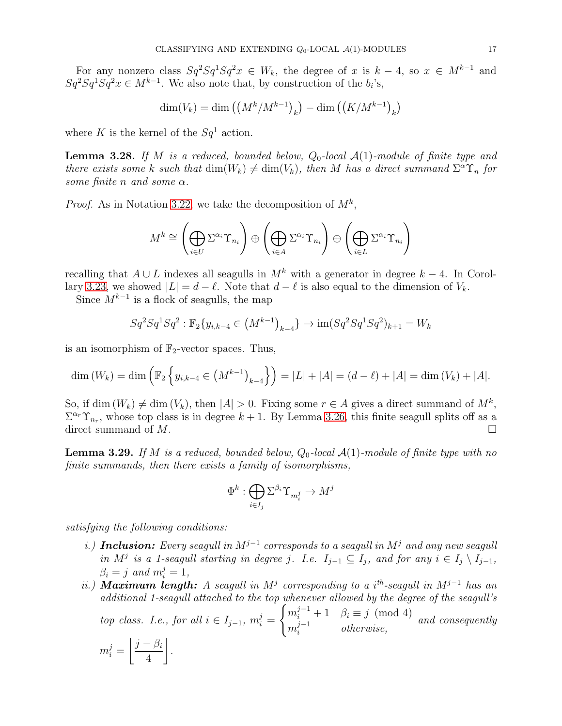For any nonzero class  $Sq^2Sq^1Sq^2x \in W_k$ , the degree of x is  $k-4$ , so  $x \in M^{k-1}$  and  $Sq^2 Sq^1 Sq^2 x \in M^{k-1}$ . We also note that, by construction of the  $b_i$ 's,

$$
\dim(V_k) = \dim\left(\left(M^k/M^{k-1}\right)_k\right) - \dim\left(\left(K/M^{k-1}\right)_k\right)
$$

where K is the kernel of the  $Sq^1$  action.

<span id="page-16-0"></span>**Lemma 3.28.** If M is a reduced, bounded below,  $Q_0$ -local  $\mathcal{A}(1)$ -module of finite type and there exists some k such that  $\dim(W_k) \neq \dim(V_k)$ , then M has a direct summand  $\Sigma^{\alpha} \Upsilon_n$  for some finite n and some  $\alpha$ .

*Proof.* As in Notation [3.22,](#page-13-0) we take the decomposition of  $M^k$ ,

$$
M^k \cong \left(\bigoplus_{i \in U} \Sigma^{\alpha_i} \Upsilon_{n_i} \right) \oplus \left(\bigoplus_{i \in A} \Sigma^{\alpha_i} \Upsilon_{n_i} \right) \oplus \left(\bigoplus_{i \in L} \Sigma^{\alpha_i} \Upsilon_{n_i} \right)
$$

recalling that  $A \cup L$  indexes all seagulls in  $M^k$  with a generator in degree  $k-4$ . In Corol-lary [3.23,](#page-13-1) we showed  $|L| = d - \ell$ . Note that  $d - \ell$  is also equal to the dimension of  $V_k$ .

Since  $M^{k-1}$  is a flock of seagulls, the map

$$
Sq^2Sq^1Sq^2 : \mathbb{F}_2\{y_{i,k-4} \in (M^{k-1})_{k-4}\} \to \text{im}(Sq^2Sq^1Sq^2)_{k+1} = W_k
$$

is an isomorphism of  $\mathbb{F}_2$ -vector spaces. Thus,

$$
\dim(W_k) = \dim\left(\mathbb{F}_2\left\{y_{i,k-4} \in \left(M^{k-1}\right)_{k-4}\right\}\right) = |L| + |A| = (d - \ell) + |A| = \dim(V_k) + |A|.
$$

So, if dim  $(W_k) \neq \dim(V_k)$ , then  $|A| > 0$ . Fixing some  $r \in A$  gives a direct summand of  $M^k$ ,  $\Sigma^{\alpha_r}\Upsilon_{n_r}$ , whose top class is in degree  $k+1$ . By Lemma [3.26,](#page-15-0) this finite seagull splits off as a direct summand of  $M$ .

**Lemma 3.29.** If M is a reduced, bounded below,  $Q_0$ -local  $\mathcal{A}(1)$ -module of finite type with no finite summands, then there exists a family of isomorphisms,

$$
\Phi^k: \bigoplus_{i\in I_j} \Sigma^{\beta_i} \Upsilon_{m_i^j} \to M^j
$$

satisfying the following conditions:

- i.) Inclusion: Every seagull in  $M^{j-1}$  corresponds to a seagull in  $M^j$  and any new seagull in M<sup>j</sup> is a 1-seagull starting in degree j. I.e.  $I_{j-1} \subseteq I_j$ , and for any  $i \in I_j \setminus I_{j-1}$ ,  $\beta_i = j \text{ and } m_i^j = 1,$
- ii.) Maximum length: A seagull in  $M^j$  corresponding to a i<sup>th</sup>-seagull in  $M^{j-1}$  has an additional 1-seagull attached to the top whenever allowed by the degree of the seagull's top class. I.e., for all  $i \in I_{j-1}$ ,  $m_i^j =$  $\int m_i^{j-1} + 1 \quad \beta_i \equiv j \pmod{4}$  $m_i^{j-1}$  $i^{j-1}$  otherwise, and consequently

$$
m_i^j = \left\lfloor \frac{j-\beta_i}{4} \right\rfloor
$$

.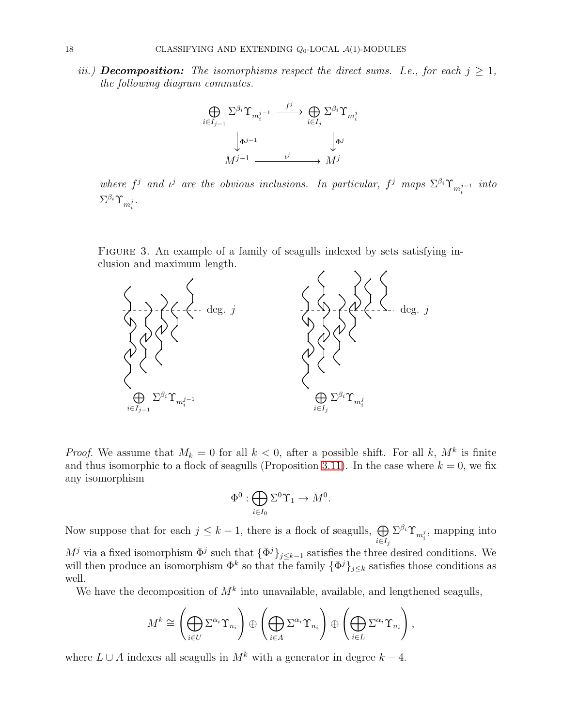iii.) **Decomposition:** The isomorphisms respect the direct sums. I.e., for each  $j \geq 1$ , the following diagram commutes.



where  $f^j$  and  $\iota^j$  are the obvious inclusions. In particular,  $f^j$  maps  $\Sigma^{\beta_i} \Upsilon_{m_i^{j-1}}$  into  $\Sigma^{\beta_i}\Upsilon_{m_i^j}$  .

FIGURE 3. An example of a family of seagulls indexed by sets satisfying inclusion and maximum length.



*Proof.* We assume that  $M_k = 0$  for all  $k < 0$ , after a possible shift. For all k,  $M^k$  is finite and thus isomorphic to a flock of seagulls (Proposition [3.11\)](#page-7-1). In the case where  $k = 0$ , we fix any isomorphism

$$
\Phi^0:\bigoplus_{i\in I_0}\Sigma^0\Upsilon_1\to M^0.
$$

Now suppose that for each  $j \leq k-1$ , there is a flock of seagulls,  $\bigoplus$  $i \in I_j$  $\Sigma^{\beta_i} \Upsilon_{m_i^j}$ , mapping into  $M^j$  via a fixed isomorphism  $\Phi^j$  such that  $\{\Phi^j\}_{j\leq k-1}$  satisfies the three desired conditions. We will then produce an isomorphism  $\Phi^k$  so that the family  $\{\Phi^j\}_{j\leq k}$  satisfies those conditions as well.

We have the decomposition of  $M^k$  into unavailable, available, and lengthened seagulls,

$$
M^k \cong \left(\bigoplus_{i\in U} \Sigma^{\alpha_i} \Upsilon_{n_i}\right) \oplus \left(\bigoplus_{i\in A} \Sigma^{\alpha_i} \Upsilon_{n_i}\right) \oplus \left(\bigoplus_{i\in L} \Sigma^{\alpha_i} \Upsilon_{n_i}\right),
$$

where  $L \cup A$  indexes all seagulls in  $M^k$  with a generator in degree  $k - 4$ .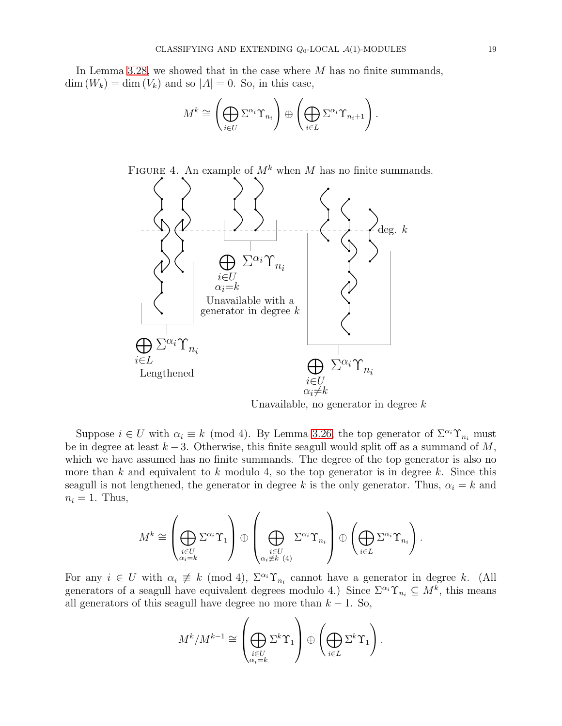In Lemma [3.28,](#page-16-0) we showed that in the case where M has no finite summands,  $\dim(W_k) = \dim(V_k)$  and so  $|A| = 0$ . So, in this case,

$$
M^k \cong \left(\bigoplus_{i\in U} \Sigma^{\alpha_i} \Upsilon_{n_i}\right) \oplus \left(\bigoplus_{i\in L} \Sigma^{\alpha_i} \Upsilon_{n_i+1}\right).
$$



Unavailable, no generator in degree  $k$ 

Suppose  $i \in U$  with  $\alpha_i \equiv k \pmod{4}$ . By Lemma [3.26,](#page-15-0) the top generator of  $\Sigma^{\alpha_i} \Upsilon_{n_i}$  must be in degree at least  $k-3$ . Otherwise, this finite seagull would split off as a summand of M, which we have assumed has no finite summands. The degree of the top generator is also no more than k and equivalent to k modulo 4, so the top generator is in degree k. Since this seagull is not lengthened, the generator in degree k is the only generator. Thus,  $\alpha_i = k$  and  $n_i = 1$ . Thus,

$$
M^k \cong \left(\bigoplus_{\substack{i \in U \\ \alpha_i = k}} \Sigma^{\alpha_i} \Upsilon_1\right) \oplus \left(\bigoplus_{\substack{i \in U \\ \alpha_i \not\equiv k \ (4)}} \Sigma^{\alpha_i} \Upsilon_{n_i}\right) \oplus \left(\bigoplus_{i \in L} \Sigma^{\alpha_i} \Upsilon_{n_i}\right).
$$

For any  $i \in U$  with  $\alpha_i \neq k \pmod{4}$ ,  $\Sigma^{\alpha_i} \Upsilon_{n_i}$  cannot have a generator in degree k. (All generators of a seagull have equivalent degrees modulo 4.) Since  $\Sigma^{\alpha_i} \Upsilon_{n_i} \subseteq M^k$ , this means all generators of this seagull have degree no more than  $k - 1$ . So,

$$
M^{k}/M^{k-1} \cong \left(\bigoplus_{\substack{i \in U \\ \alpha_{i}=k}} \Sigma^{k} \Upsilon_{1}\right) \oplus \left(\bigoplus_{i \in L} \Sigma^{k} \Upsilon_{1}\right).
$$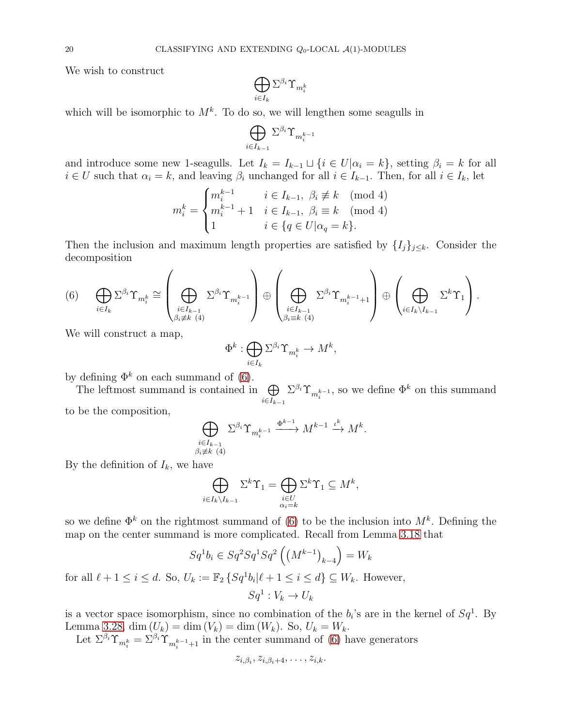We wish to construct

$$
\bigoplus_{i\in I_k}\Sigma^{\beta_i}\Upsilon_{m_i^k}
$$

which will be isomorphic to  $M^k$ . To do so, we will lengthen some seagulls in

$$
\bigoplus_{i\in I_{k-1}}\Sigma^{\beta_i}\Upsilon_{m^{k-1}_i}
$$

and introduce some new 1-seagulls. Let  $I_k = I_{k-1} \sqcup \{i \in U | \alpha_i = k\}$ , setting  $\beta_i = k$  for all  $i \in U$  such that  $\alpha_i = k$ , and leaving  $\beta_i$  unchanged for all  $i \in I_{k-1}$ . Then, for all  $i \in I_k$ , let

$$
m_i^k = \begin{cases} m_i^{k-1} & i \in I_{k-1}, \ \beta_i \not\equiv k \pmod{4} \\ m_i^{k-1} + 1 & i \in I_{k-1}, \ \beta_i \equiv k \pmod{4} \\ 1 & i \in \{q \in U | \alpha_q = k \}. \end{cases}
$$

Then the inclusion and maximum length properties are satisfied by  $\{I_j\}_{j\leq k}$ . Consider the decomposition

<span id="page-19-0"></span>
$$
(6) \qquad \bigoplus_{i\in I_k} \Sigma^{\beta_i} \Upsilon_{m_i^k} \cong \left(\bigoplus_{\substack{i\in I_{k-1} \\ \beta_i \neq k\ (4)}} \Sigma^{\beta_i} \Upsilon_{m_i^{k-1}}\right) \oplus \left(\bigoplus_{\substack{i\in I_{k-1} \\ \beta_i \equiv k\ (4)}} \Sigma^{\beta_i} \Upsilon_{m_i^{k-1}+1}\right) \oplus \left(\bigoplus_{i\in I_k \setminus I_{k-1}} \Sigma^k \Upsilon_1\right).
$$

We will construct a map,

$$
\Phi^k: \bigoplus_{i \in I_k} \Sigma^{\beta_i} \Upsilon_{m_i^k} \to M^k,
$$

by defining  $\Phi^k$  on each summand of [\(6\)](#page-19-0).

The leftmost summand is contained in  $\bigoplus$  $i \in I_{k-1}$  $\Sigma^{\beta_i} \Upsilon_{m_i^{k-1}}$ , so we define  $\Phi^k$  on this summand

to be the composition,

$$
\bigoplus_{\substack{i \in I_{k-1} \\ \beta_i \neq k \ (4)}} \Sigma^{\beta_i} \Upsilon_{m_i^{k-1}} \xrightarrow{\Phi^{k-1}} M^{k-1} \xrightarrow{\iota^k} M^k.
$$

By the definition of  $I_k$ , we have

$$
\bigoplus_{i\in I_k\setminus I_{k-1}}\Sigma^k\Upsilon_1=\bigoplus_{\substack{i\in U\\ \alpha_i=k}}\Sigma^k\Upsilon_1\subseteq M^k,
$$

so we define  $\Phi^k$  on the rightmost summand of [\(6\)](#page-19-0) to be the inclusion into  $M^k$ . Defining the map on the center summand is more complicated. Recall from Lemma [3.18](#page-9-1) that

$$
Sq^1b_i \in Sq^2Sq^1Sq^2 \left( \left(M^{k-1}\right)_{k-4} \right) = W_k
$$
  

$$
U := \mathbb{E} \left[ S_{\alpha}^{-1}b \mid \ell+1 \leq i \leq d \right] \subset W
$$

for all  $\ell + 1 \leq i \leq d$ . So,  $U_k := \mathbb{F}_2 \{Sq^1b_i | \ell + 1 \leq i \leq d\} \subseteq W_k$ . However,  $Sq^1: V_k \to U_k$ 

is a vector space isomorphism, since no combination of the  $b_i$ 's are in the kernel of  $Sq^1$ . By Lemma [3.28,](#page-16-0) dim  $(U_k) = \dim(V_k) = \dim(W_k)$ . So,  $U_k = W_k$ .

Let  $\Sigma^{\beta_i} \Upsilon_{m_i^k} = \Sigma^{\beta_i} \Upsilon_{m_i^{k-1}+1}$  in the center summand of [\(6\)](#page-19-0) have generators

$$
z_{i,\beta_i}, z_{i,\beta_i+4}, \ldots, z_{i,k}.
$$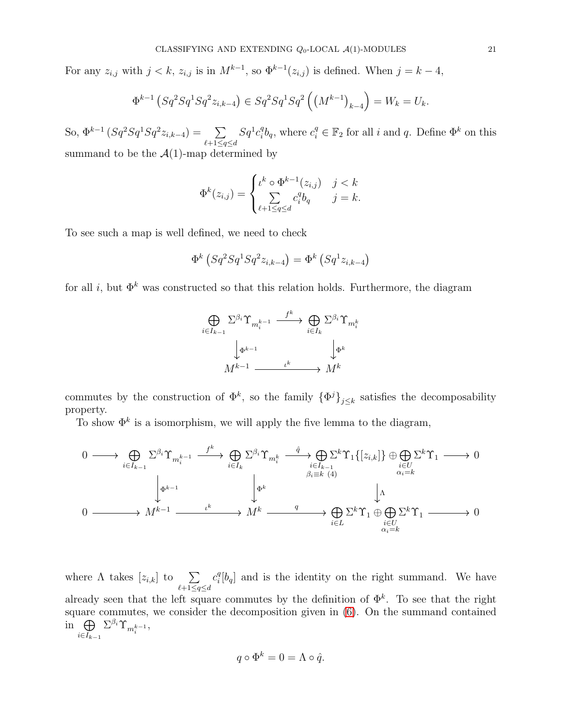For any  $z_{i,j}$  with  $j < k$ ,  $z_{i,j}$  is in  $M^{k-1}$ , so  $\Phi^{k-1}(z_{i,j})$  is defined. When  $j = k - 4$ ,

$$
\Phi^{k-1}\left(Sq^2Sq^1Sq^2z_{i,k-4}\right) \in Sq^2Sq^1Sq^2\left(\left(M^{k-1}\right)_{k-4}\right) = W_k = U_k.
$$

So,  $\Phi^{k-1} (Sq^2 Sq^1 Sq^2 z_{i,k-4}) = \sum$  $\ell+1 \leq q \leq d$  $Sq^1c_i^q$  ${}_{i}^{q}b_{q}$ , where  $c_{i}^{q} \in \mathbb{F}_{2}$  for all i and q. Define  $\Phi^{k}$  on this summand to be the  $A(1)$ -map determined by

$$
\Phi^k(z_{i,j}) = \begin{cases} \n\iota^k \circ \Phi^{k-1}(z_{i,j}) & j < k \\ \n\sum_{\ell+1 \le q \le d} c_i^q b_q & j = k. \n\end{cases}
$$

To see such a map is well defined, we need to check

$$
\Phi^k \left( Sq^2 Sq^1 Sq^2 z_{i,k-4} \right) = \Phi^k \left( Sq^1 z_{i,k-4} \right)
$$

for all i, but  $\Phi^k$  was constructed so that this relation holds. Furthermore, the diagram



commutes by the construction of  $\Phi^k$ , so the family  $\{\Phi^j\}_{j\leq k}$  satisfies the decomposability property.

To show  $\Phi^k$  is a isomorphism, we will apply the five lemma to the diagram,

$$
\begin{array}{ccccccc}\n0 & \longrightarrow & \bigoplus\limits_{i \in I_{k-1}} \Sigma^{\beta_i} \Upsilon_{m_i^{k-1}} & \xrightarrow{f^k} & \bigoplus\limits_{i \in I_k} \Sigma^{\beta_i} \Upsilon_{m_i^k} & \xrightarrow{i \in I_{k-1}} \Sigma^k \Upsilon_1 \{[z_{i,k}]\} \oplus \bigoplus\limits_{i \in U} \Sigma^k \Upsilon_1 & \longrightarrow & 0 \\
& & & \downarrow & & \downarrow & \\
& & & & \downarrow & & \\
0 & \xrightarrow{\hspace{2cm}} & M^{k-1} & \xrightarrow{\hspace{2cm}} & M^k & \xrightarrow{q} & \bigoplus\limits_{i \in L} \Sigma^k \Upsilon_1 \oplus \bigoplus\limits_{\substack{i \in U \\ \alpha_i = k}} \Sigma^k \Upsilon_1 & \longrightarrow & 0\n\end{array}
$$

where  $\Lambda$  takes  $[z_{i,k}]$  to  $\sum$  $\ell+1 \leq q \leq d$  $c_i^q$  $\binom{q}{i}[b_q]$  and is the identity on the right summand. We have already seen that the left square commutes by the definition of  $\Phi^k$ . To see that the right square commutes, we consider the decomposition given in [\(6\)](#page-19-0). On the summand contained in  $\oplus$  $i \in I_{k-1}$  $\Sigma^{\beta_i}\Upsilon_{m^{k-1}_i},$ 

$$
q \circ \Phi^k = 0 = \Lambda \circ \hat{q}.
$$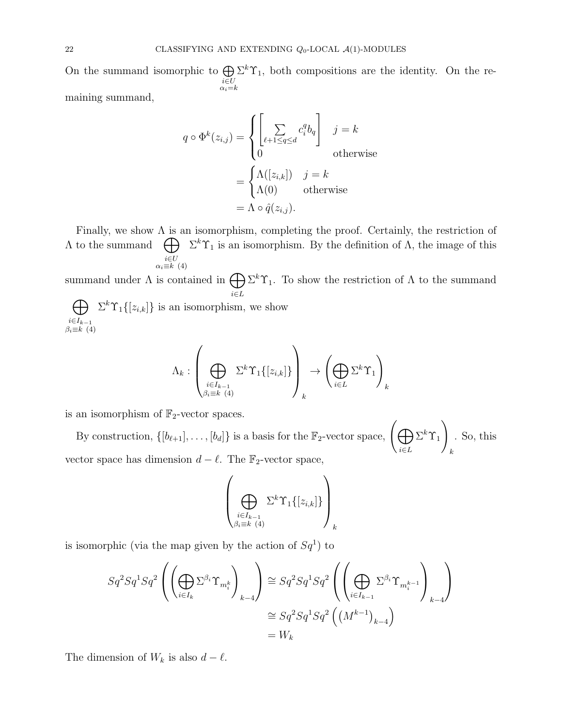On the summand isomorphic to  $\bigoplus$  $\substack{i \in U \\ \alpha_i = k}$  $\Sigma^k \Upsilon_1$ , both compositions are the identity. On the remaining summand,

> $q \circ \Phi^k(z_{i,j}) =$  $\sqrt{ }$  $\int$  $\overline{a}$  $\sqrt{ }$  $\sum$  $\ell+1 \leq q \leq d$  $c_i^q$  ${}^q_i b_q$ 1  $j = k$ 0 otherwise =  $\int \Lambda([z_{i,k}])$   $j = k$  $\Lambda(0)$  otherwise  $=\Lambda \circ \hat{q}(z_{i,j})$

Finally, we show  $\Lambda$  is an isomorphism, completing the proof. Certainly, the restriction of  $Λ$  to the summand  $\bigoplus \Sigma^k \Upsilon_1$  is an isomorphism. By the definition of  $Λ$ , the image of this  $i \in U$ <br> $\alpha_i \equiv k \ (4)$ 

summand under  $\Lambda$  is contained in  $\bigoplus$ i∈L  $\Sigma^k \Upsilon_1$ . To show the restriction of  $\Lambda$  to the summand  $\bigoplus \Sigma^k \Upsilon_1\{[z_{i,k}]\}\$ is an isomorphism, we show

$$
i \in I_{k-1}
$$
  

$$
\beta_i \equiv k \ (4)
$$

$$
\left(\begin{array}{c}\n\text{S. } \\
\text{S. } \\
\text{S. } \\
\text{S. } \\
\text{S. } \\
\text{S. } \\
\text{S. } \\
\text{S. } \\
\text{S. } \\
\text{S. } \\
\text{S. } \\
\text{S. } \\
\text{S. } \\
\text{S. } \\
\text{S. } \\
\text{S. } \\
\text{S. } \\
\text{S. } \\
\text{S. } \\
\text{S. } \\
\text{S. } \\
\text{S. } \\
\text{S. } \\
\text{S. } \\
\text{S. } \\
\text{S. } \\
\text{S. } \\
\text{S. } \\
\text{S. } \\
\text{S. } \\
\text{S. } \\
\text{S. } \\
\text{S. } \\
\text{S. } \\
\text{S. } \\
\text{S. } \\
\text{S. } \\
\text{S. } \\
\text{S. } \\
\text{S. } \\
\text{S. } \\
\text{S. } \\
\text{S. } \\
\text{S. } \\
\text{S. } \\
\text{S. } \\
\text{S. } \\
\text{S. } \\
\text{S. } \\
\text{S. } \\
\text{S. } \\
\text{S. } \\
\text{S. } \\
\text{S. } \\
\text{S. } \\
\text{S. } \\
\text{S. } \\
\text{S. } \\
\text{S. } \\
\text{S. } \\
\text{S. } \\
\text{S. } \\
\text{S. } \\
\text{S. } \\
\text{S. } \\
\text{S. } \\
\text{S. } \\
\text{S. } \\
\text{S. } \\
\text{S. } \\
\text{S. } \\
\text{S. } \\
\text{S. } \\
\text{S. } \\
\text{S. } \\
\text{S. } \\
\text{S. } \\
\text{S. } \\
\text{S. } \\
\text{S. } \\
\text{S. } \\
\text{S. } \\
\text{S. } \\
\text{S. } \\
\text{S. } \\
\text{S. } \\
\text{S. } \\
\text{S. } \\
\text{S. } \\
\text{S. } \\
\text{S. } \\
\text{S. } \\
\text{S. } \\
\text{S. } \\
\text{S. } \\
\text{S. } \\
\text{S. } \\
\text{S. } \\
\text{S. } \\
\text{S. } \\
\text{S. } \\
\text{S. } \\
\text{S. } \\
\text{S. } \\
\text{S. } \\
\text{S. } \\
\text{S. } \\
\
$$

$$
\Lambda_k: \left(\bigoplus_{\substack{i\in I_{k-1}\\ \beta_i\equiv k\ (4)}} \Sigma^k \Upsilon_1\{[z_{i,k}]\}\right)_k \to \left(\bigoplus_{i\in L} \Sigma^k \Upsilon_1\right)_k
$$

is an isomorphism of  $\mathbb{F}_2$ -vector spaces.

By construction,  $\{[b_{\ell+1}], \ldots, [b_d]\}$  is a basis for the  $\mathbb{F}_2$ -vector space,  $\left(\bigoplus_{i=1}^{\infty} \mathbb{F}_2\right)$ i∈L  $\Sigma^k \Upsilon_1$ ! k . So, this vector space has dimension  $d - \ell$ . The  $\mathbb{F}_2$ -vector space,

$$
\left(\bigoplus_{\substack{i\in I_{k-1}\\ \beta_i\equiv k\ (4)}}\Sigma^k\Upsilon_1\{[z_{i,k}]\}\right)_k
$$

is isomorphic (via the map given by the action of  $Sq^1$ ) to

$$
Sq^2 Sq^1 Sq^2 \left( \left( \bigoplus_{i \in I_k} \Sigma^{\beta_i} \Upsilon_{m_i^k} \right)_{k-4} \right) \cong Sq^2 Sq^1 Sq^2 \left( \left( \bigoplus_{i \in I_{k-1}} \Sigma^{\beta_i} \Upsilon_{m_i^{k-1}} \right)_{k-4} \right)
$$
  

$$
\cong Sq^2 Sq^1 Sq^2 \left( \left( M^{k-1} \right)_{k-4} \right)
$$
  

$$
= W_k
$$

The dimension of  $W_k$  is also  $d - \ell$ .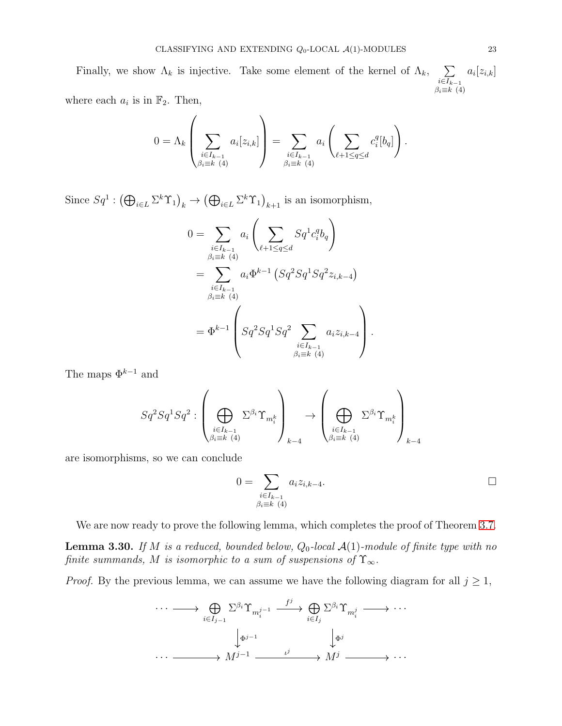Finally, we show  $\Lambda_k$  is injective. Take some element of the kernel of  $\Lambda_k$ ,  $\sum$  $i \in I_{k-1}$  $\beta_i \equiv k \ (4)$  $a_i[z_{i,k}]$ 

where each  $a_i$  is in  $\mathbb{F}_2$ . Then,

$$
0 = \Lambda_k \left( \sum_{\substack{i \in I_{k-1} \\ \beta_i \equiv k \ (4)}} a_i [z_{i,k}] \right) = \sum_{\substack{i \in I_{k-1} \\ \beta_i \equiv k \ (4)}} a_i \left( \sum_{\ell+1 \le q \le d} c_i^q [b_q] \right).
$$

Since  $Sq^1 : (\bigoplus_{i \in L} \Sigma^k \Upsilon_1)_k \to (\bigoplus_{i \in L} \Sigma^k \Upsilon_1)_{k+1}$  is an isomorphism,

$$
0 = \sum_{\substack{i \in I_{k-1} \\ \beta_i \equiv k \ (4)}} a_i \left( \sum_{\ell+1 \le q \le d} Sq^1 c_i^q b_q \right)
$$
  
= 
$$
\sum_{\substack{i \in I_{k-1} \\ \beta_i \equiv k \ (4)}} a_i \Phi^{k-1} \left( Sq^2 Sq^1 Sq^2 z_{i,k-4} \right)
$$
  
= 
$$
\Phi^{k-1} \left( Sq^2 Sq^1 Sq^2 \sum_{\substack{i \in I_{k-1} \\ \beta_i \equiv k \ (4)}} a_i z_{i,k-4} \right).
$$

The maps  $\Phi^{k-1}$  and

$$
Sq^2Sq^1Sq^2: \left( \bigoplus_{\substack{i \in I_{k-1} \\ \beta_i \equiv k \ (4)}} \Sigma^{\beta_i} \Upsilon_{m_i^k} \right)_{k-4} \rightarrow \left( \bigoplus_{\substack{i \in I_{k-1} \\ \beta_i \equiv k \ (4)}} \Sigma^{\beta_i} \Upsilon_{m_i^k} \right)_{k-4}
$$

are isomorphisms, so we can conclude

$$
0 = \sum_{\substack{i \in I_{k-1} \\ \beta_i \equiv k \ (4)}} a_i z_{i,k-4}.
$$

We are now ready to prove the following lemma, which completes the proof of Theorem [3.7.](#page-5-1)

**Lemma 3.30.** If M is a reduced, bounded below,  $Q_0$ -local  $\mathcal{A}(1)$ -module of finite type with no finite summands, M is isomorphic to a sum of suspensions of  $\Upsilon_{\infty}$ .

*Proof.* By the previous lemma, we can assume we have the following diagram for all  $j \geq 1$ ,

$$
\cdots \longrightarrow \bigoplus_{i \in I_{j-1}} \Sigma^{\beta_i} \Upsilon_{m_i^{j-1}} \xrightarrow{f^j} \bigoplus_{i \in I_j} \Sigma^{\beta_i} \Upsilon_{m_i^j} \longrightarrow \cdots
$$

$$
\downarrow_{\Phi^{j-1}} \qquad \qquad \downarrow_{\Phi^j}
$$

$$
\cdots \longrightarrow M^{j-1} \xrightarrow{L^j} M^j \longrightarrow \cdots
$$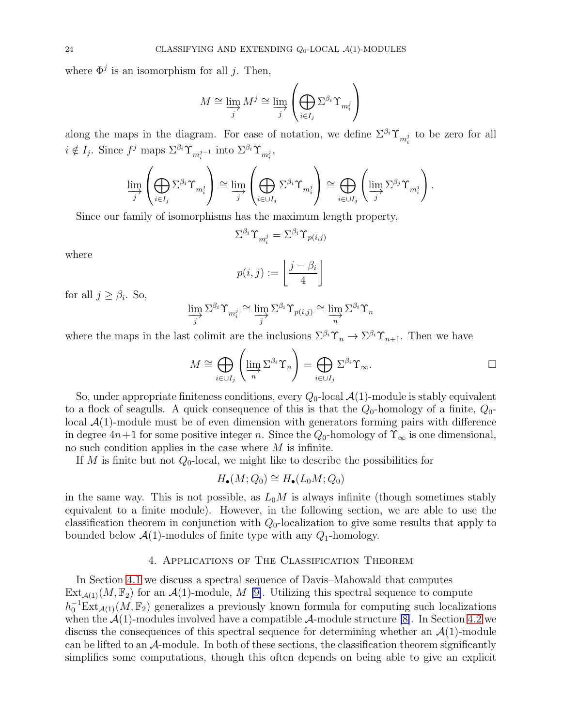where  $\Phi^j$  is an isomorphism for all j. Then,

$$
M \cong \varinjlim_j M^j \cong \varinjlim_j \left( \bigoplus_{i \in I_j} \Sigma^{\beta_i} \Upsilon_{m_i^j} \right)
$$

along the maps in the diagram. For ease of notation, we define  $\Sigma^{\beta_i} \Upsilon_{m_i^j}$  to be zero for all  $i \notin I_j$ . Since  $f^j$  maps  $\Sigma^{\beta_i} \Upsilon_{m_i^j-1}$  into  $\Sigma^{\beta_i} \Upsilon_{m_i^j}$ ,

$$
\varinjlim_j \left(\bigoplus_{i \in I_j} \Sigma^{\beta_i} \Upsilon_{m_i^j} \right) \cong \varinjlim_j \left(\bigoplus_{i \in \cup I_j} \Sigma^{\beta_i} \Upsilon_{m_i^j} \right) \cong \bigoplus_{i \in \cup I_j} \left(\varinjlim_j \Sigma^{\beta_j} \Upsilon_{m_i^j} \right).
$$

Since our family of isomorphisms has the maximum length property,

$$
\Sigma^{\beta_i} \Upsilon_{m^j_i} = \Sigma^{\beta_i} \Upsilon_{p(i,j)}
$$

where

$$
p(i,j) := \left\lfloor \frac{j - \beta_i}{4} \right\rfloor
$$

for all  $j \geq \beta_i$ . So,

$$
\varinjlim_{j} \Sigma^{\beta_{i}} \Upsilon_{m_{i}^{j}} \cong \varinjlim_{j} \Sigma^{\beta_{i}} \Upsilon_{p(i,j)} \cong \varinjlim_{n} \Sigma^{\beta_{i}} \Upsilon_{n}
$$

where the maps in the last colimit are the inclusions  $\Sigma^{\beta_i} \Upsilon_n \to \Sigma^{\beta_i} \Upsilon_{n+1}$ . Then we have

$$
M \cong \bigoplus_{i \in \cup I_j} \left( \varinjlim_n \Sigma^{\beta_i} \Upsilon_n \right) = \bigoplus_{i \in \cup I_j} \Sigma^{\beta_i} \Upsilon_\infty.
$$

So, under appropriate finiteness conditions, every  $Q_0$ -local  $\mathcal{A}(1)$ -module is stably equivalent to a flock of seagulls. A quick consequence of this is that the  $Q_0$ -homology of a finite,  $Q_0$ local  $\mathcal{A}(1)$ -module must be of even dimension with generators forming pairs with difference in degree  $4n+1$  for some positive integer n. Since the  $Q_0$ -homology of  $\Upsilon_{\infty}$  is one dimensional, no such condition applies in the case where  $M$  is infinite.

If M is finite but not  $Q_0$ -local, we might like to describe the possibilities for

$$
H_{\bullet}(M;Q_0) \cong H_{\bullet}(L_0M;Q_0)
$$

in the same way. This is not possible, as  $L_0M$  is always infinite (though sometimes stably equivalent to a finite module). However, in the following section, we are able to use the classification theorem in conjunction with  $Q_0$ -localization to give some results that apply to bounded below  $\mathcal{A}(1)$ -modules of finite type with any  $Q_1$ -homology.

### 4. Applications of The Classification Theorem

<span id="page-23-0"></span>In Section [4.1](#page-24-0) we discuss a spectral sequence of Davis–Mahowald that computes  $Ext_{\mathcal{A}(1)}(M, \mathbb{F}_2)$  for an  $\mathcal{A}(1)$ -module, M [\[9\]](#page-35-6). Utilizing this spectral sequence to compute  $h_0^{-1}Ext_{\mathcal{A}(1)}(M,\mathbb{F}_2)$  generalizes a previously known formula for computing such localizations when the  $\mathcal{A}(1)$ -modules involved have a compatible  $\mathcal{A}$ -module structure [\[8\]](#page-35-5). In Section [4.2](#page-34-0) we discuss the consequences of this spectral sequence for determining whether an  $\mathcal{A}(1)$ -module can be lifted to an  $A$ -module. In both of these sections, the classification theorem significantly simplifies some computations, though this often depends on being able to give an explicit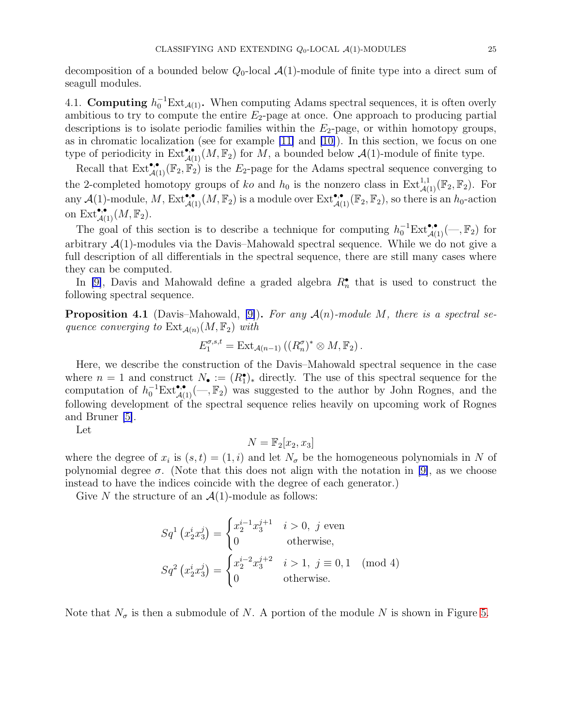decomposition of a bounded below  $Q_0$ -local  $\mathcal{A}(1)$ -module of finite type into a direct sum of seagull modules.

<span id="page-24-0"></span>4.1. Computing  $h_0^{-1}Ext_{\mathcal{A}(1)}$ . When computing Adams spectral sequences, it is often overly ambitious to try to compute the entire  $E_2$ -page at once. One approach to producing partial descriptions is to isolate periodic families within the  $E_2$ -page, or within homotopy groups, as in chromatic localization (see for example [\[11\]](#page-35-9) and [\[10\]](#page-35-10)). In this section, we focus on one type of periodicity in  $\text{Ext}_{\mathcal{A}(1)}^{\bullet,\bullet}(M,\mathbb{F}_2)$  for  $M$ , a bounded below  $\mathcal{A}(1)$ -module of finite type.

Recall that  $\text{Ext}^{\bullet,\bullet}_{\mathcal{A}(1)}(\mathbb{F}_2,\mathbb{F}_2)$  is the  $E_2$ -page for the Adams spectral sequence converging to the 2-completed homotopy groups of ko and  $h_0$  is the nonzero class in  $\text{Ext}_{\mathcal{A}(1)}^{1,1}(\mathbb{F}_2, \mathbb{F}_2)$ . For any  $\mathcal{A}(1)$ -module, M,  $\text{Ext}_{\mathcal{A}(1)}^{\bullet,\bullet}(M,\mathbb{F}_2)$  is a module over  $\text{Ext}_{\mathcal{A}(1)}^{\bullet,\bullet}(\mathbb{F}_2,\mathbb{F}_2)$ , so there is an  $h_0$ -action on  $\text{Ext}^{\bullet,\bullet}_{\mathcal{A}(1)}(M,\mathbb{F}_2).$ 

The goal of this section is to describe a technique for computing  $h_0^{-1}Ext_{\mathcal{A}(1)}^{\bullet,\bullet}(-,\mathbb{F}_2)$  for arbitrary  $\mathcal{A}(1)$ -modules via the Davis–Mahowald spectral sequence. While we do not give a full description of all differentials in the spectral sequence, there are still many cases where they can be computed.

In [\[9\]](#page-35-6), Davis and Mahowald define a graded algebra  $R_n^{\bullet}$  that is used to construct the following spectral sequence.

**Proposition 4.1** (Davis–Mahowald, [\[9\]](#page-35-6)). For any  $\mathcal{A}(n)$ -module M, there is a spectral sequence converging to  $\text{Ext}_{\mathcal{A}(n)}(M,\mathbb{F}_2)$  with

$$
E_1^{\sigma,s,t} = \text{Ext}_{\mathcal{A}(n-1)}((R_n^{\sigma})^* \otimes M, \mathbb{F}_2).
$$

Here, we describe the construction of the Davis–Mahowald spectral sequence in the case where  $n = 1$  and construct  $N_{\bullet} := (R_1^{\bullet})_{*}$  directly. The use of this spectral sequence for the computation of  $h_0^{-1}Ext_{\mathcal{A}(1)}^{\bullet,\bullet}(-,\mathbb{F}_2)$  was suggested to the author by John Rognes, and the following development of the spectral sequence relies heavily on upcoming work of Rognes and Bruner [\[5\]](#page-35-11).

Let

$$
N = \mathbb{F}_2[x_2, x_3]
$$

where the degree of  $x_i$  is  $(s, t) = (1, i)$  and let  $N_{\sigma}$  be the homogeneous polynomials in N of polynomial degree  $\sigma$ . (Note that this does not align with the notation in [\[9\]](#page-35-6), as we choose instead to have the indices coincide with the degree of each generator.)

Give N the structure of an  $\mathcal{A}(1)$ -module as follows:

$$
Sq^{1} (x_{2}^{i} x_{3}^{j}) = \begin{cases} x_{2}^{i-1} x_{3}^{j+1} & i > 0, j \text{ even} \\ 0 & \text{otherwise,} \end{cases}
$$
  

$$
Sq^{2} (x_{2}^{i} x_{3}^{j}) = \begin{cases} x_{2}^{i-2} x_{3}^{j+2} & i > 1, j \equiv 0, 1 \pmod{4} \\ 0 & \text{otherwise.} \end{cases}
$$

Note that  $N_{\sigma}$  is then a submodule of N. A portion of the module N is shown in Figure [5.](#page-25-0)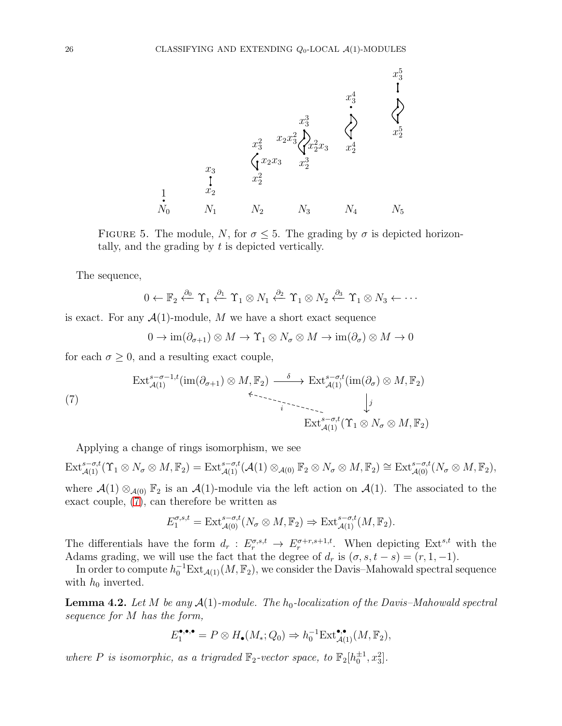

FIGURE 5. The module, N, for  $\sigma \leq 5$ . The grading by  $\sigma$  is depicted horizontally, and the grading by  $t$  is depicted vertically.

The sequence,

<span id="page-25-0"></span>
$$
0 \leftarrow \mathbb{F}_2 \stackrel{\partial_0}{\leftarrow} \Upsilon_1 \stackrel{\partial_1}{\leftarrow} \Upsilon_1 \otimes N_1 \stackrel{\partial_2}{\leftarrow} \Upsilon_1 \otimes N_2 \stackrel{\partial_3}{\leftarrow} \Upsilon_1 \otimes N_3 \leftarrow \cdots
$$

is exact. For any  $\mathcal{A}(1)$ -module, M we have a short exact sequence

<span id="page-25-1"></span>
$$
0 \to \operatorname{im}(\partial_{\sigma+1}) \otimes M \to \Upsilon_1 \otimes N_{\sigma} \otimes M \to \operatorname{im}(\partial_{\sigma}) \otimes M \to 0
$$

for each  $\sigma \geq 0$ , and a resulting exact couple,

$$
\operatorname{Ext}_{\mathcal{A}(1)}^{s-\sigma-1,t}(\operatorname{im}(\partial_{\sigma+1})\otimes M,\mathbb{F}_2) \xrightarrow{\delta} \operatorname{Ext}_{\mathcal{A}(1)}^{s-\sigma,t}(\operatorname{im}(\partial_{\sigma})\otimes M,\mathbb{F}_2)
$$
\n
$$
\longleftrightarrow \operatorname{Ext}_{\mathcal{A}(1)}^{s-\sigma,t}(\operatorname{Tr}_{\mathcal{A}(1)}(\Upsilon_1\otimes N_{\sigma}\otimes M,\mathbb{F}_2))
$$

Applying a change of rings isomorphism, we see

 $\mathrm{Ext}_{\mathcal{A}(1)}^{s-\sigma,t}(\Upsilon_1 \otimes N_\sigma \otimes M, \mathbb{F}_2) = \mathrm{Ext}_{\mathcal{A}(1)}^{s-\sigma,t}(\mathcal{A}(1) \otimes_{\mathcal{A}(0)} \mathbb{F}_2 \otimes N_\sigma \otimes M, \mathbb{F}_2) \cong \mathrm{Ext}_{\mathcal{A}(0)}^{s-\sigma,t}(N_\sigma \otimes M, \mathbb{F}_2),$ 

where  $\mathcal{A}(1) \otimes_{\mathcal{A}(0)} \mathbb{F}_2$  is an  $\mathcal{A}(1)$ -module via the left action on  $\mathcal{A}(1)$ . The associated to the exact couple, [\(7\)](#page-25-1), can therefore be written as

$$
E_1^{\sigma,s,t} = \text{Ext}_{\mathcal{A}(0)}^{s-\sigma,t}(N_\sigma \otimes M, \mathbb{F}_2) \Rightarrow \text{Ext}_{\mathcal{A}(1)}^{s-\sigma,t}(M, \mathbb{F}_2).
$$

The differentials have the form  $d_r: E_r^{\sigma,s,t} \to E_r^{\sigma+r,s+1,t}$ . When depicting  $Ext^{s,t}$  with the Adams grading, we will use the fact that the degree of  $d_r$  is  $(\sigma, s, t - s) = (r, 1, -1)$ .

In order to compute  $h_0^{-1}Ext_{\mathcal{A}(1)}(M,\mathbb{F}_2)$ , we consider the Davis–Mahowald spectral sequence with  $h_0$  inverted.

<span id="page-25-2"></span>**Lemma 4.2.** Let M be any  $\mathcal{A}(1)$ -module. The  $h_0$ -localization of the Davis–Mahowald spectral sequence for M has the form,

$$
E_1^{\bullet,\bullet,\bullet} = P \otimes H_{\bullet}(M_*; Q_0) \Rightarrow h_0^{-1} \text{Ext}^{\bullet,\bullet}_{\mathcal{A}(1)}(M, \mathbb{F}_2),
$$

where P is isomorphic, as a trigraded  $\mathbb{F}_2$ -vector space, to  $\mathbb{F}_2[h_0^{\pm 1}, x_3^2]$ .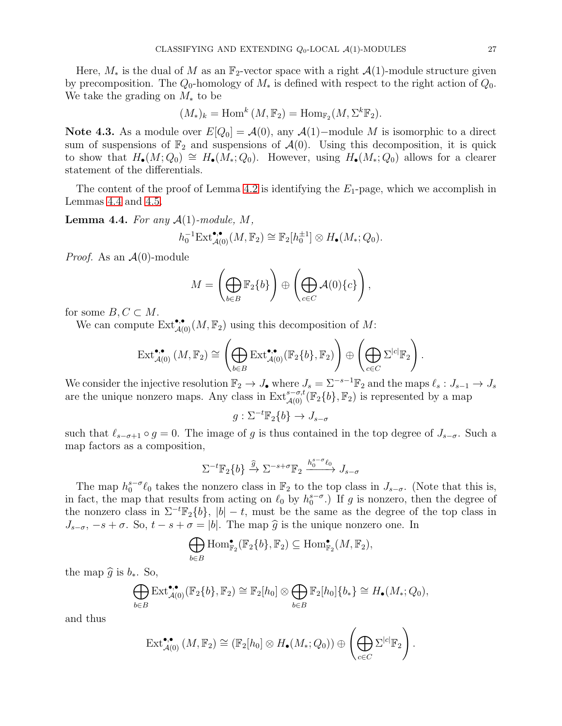Here,  $M_*$  is the dual of M as an  $\mathbb{F}_2$ -vector space with a right  $\mathcal{A}(1)$ -module structure given by precomposition. The  $Q_0$ -homology of  $M_*$  is defined with respect to the right action of  $Q_0$ . We take the grading on  $M_*$  to be

$$
(M_*)_k = \mathrm{Hom}^k (M, \mathbb{F}_2) = \mathrm{Hom}_{\mathbb{F}_2}(M, \Sigma^k \mathbb{F}_2).
$$

Note 4.3. As a module over  $E[Q_0] = \mathcal{A}(0)$ , any  $\mathcal{A}(1)$ –module M is isomorphic to a direct sum of suspensions of  $\mathbb{F}_2$  and suspensions of  $\mathcal{A}(0)$ . Using this decomposition, it is quick to show that  $H_{\bullet}(M; Q_0) \cong H_{\bullet}(M_*; Q_0)$ . However, using  $H_{\bullet}(M_*; Q_0)$  allows for a clearer statement of the differentials.

The content of the proof of Lemma [4.2](#page-25-2) is identifying the  $E_1$ -page, which we accomplish in Lemmas [4.4](#page-26-0) and [4.5.](#page-27-0)

<span id="page-26-0"></span>**Lemma 4.4.** For any  $\mathcal{A}(1)$ -module, M,

$$
h_0^{-1} \text{Ext}^{\bullet,\bullet}_{\mathcal{A}(0)}(M,\mathbb{F}_2) \cong \mathbb{F}_2[h_0^{\pm 1}] \otimes H_\bullet(M_*;Q_0).
$$

*Proof.* As an  $\mathcal{A}(0)$ -module

$$
M = \left(\bigoplus_{b \in B} \mathbb{F}_2\{b\}\right) \oplus \left(\bigoplus_{c \in C} \mathcal{A}(0)\{c\}\right),
$$

for some  $B, C \subset M$ .

We can compute  $\text{Ext}_{\mathcal{A}(0)}^{\bullet,\bullet}(M,\mathbb{F}_2)$  using this decomposition of M:

$$
\operatorname{Ext}_{\mathcal{A}(0)}^{\bullet,\bullet}(M,\mathbb{F}_2) \cong \left(\bigoplus_{b\in B} \operatorname{Ext}_{\mathcal{A}(0)}^{\bullet,\bullet}(\mathbb{F}_2\{b\},\mathbb{F}_2)\right) \oplus \left(\bigoplus_{c\in C} \Sigma^{|c|} \mathbb{F}_2\right).
$$

We consider the injective resolution  $\mathbb{F}_2 \to J_{\bullet}$  where  $J_s = \Sigma^{-s-1} \mathbb{F}_2$  and the maps  $\ell_s : J_{s-1} \to J_s$ are the unique nonzero maps. Any class in  $\text{Ext}_{\mathcal{A}(0)}^{s-\sigma,t}(\mathbb{F}_2\{b\}, \mathbb{F}_2)$  is represented by a map

$$
g: \Sigma^{-t} \mathbb{F}_2\{b\} \to J_{s-\sigma}
$$

such that  $\ell_{s-\sigma+1} \circ g = 0$ . The image of g is thus contained in the top degree of  $J_{s-\sigma}$ . Such a map factors as a composition,

$$
\Sigma^{-t}\mathbb{F}_2\{b\}\xrightarrow{\widehat{g}}\Sigma^{-s+\sigma}\mathbb{F}_2\xrightarrow{h_0^{s-\sigma}\ell_0}J_{s-\sigma}
$$

The map  $h_0^{s-\sigma}\ell_0$  takes the nonzero class in  $\mathbb{F}_2$  to the top class in  $J_{s-\sigma}$ . (Note that this is, in fact, the map that results from acting on  $\ell_0$  by  $h_0^{s-\sigma}$ .) If g is nonzero, then the degree of the nonzero class in  $\Sigma^{-t}\mathbb{F}_2\{b\}$ ,  $|b| - t$ , must be the same as the degree of the top class in  $J_{s-\sigma}$ ,  $-s+\sigma$ . So,  $t-s+\sigma = |b|$ . The map  $\hat{g}$  is the unique nonzero one. In

$$
\bigoplus_{b\in B} \operatorname{Hom}^{\bullet}_{\mathbb{F}_2}(\mathbb{F}_2\{b\}, \mathbb{F}_2) \subseteq \operatorname{Hom}^{\bullet}_{\mathbb{F}_2}(M, \mathbb{F}_2),
$$

the map  $\hat{g}$  is  $b_*$ . So,

$$
\bigoplus_{b\in B} \text{Ext}^{\bullet,\bullet}_{\mathcal{A}(0)}(\mathbb{F}_2\{b\},\mathbb{F}_2) \cong \mathbb{F}_2[h_0] \otimes \bigoplus_{b\in B} \mathbb{F}_2[h_0]\{b_*\} \cong H_{\bullet}(M_*,Q_0),
$$

and thus

$$
\operatorname{Ext}_{\mathcal{A}(0)}^{\bullet,\bullet}(M,\mathbb{F}_2) \cong (\mathbb{F}_2[h_0] \otimes H_{\bullet}(M_*;Q_0)) \oplus \left(\bigoplus_{c \in C} \Sigma^{|c|} \mathbb{F}_2\right).
$$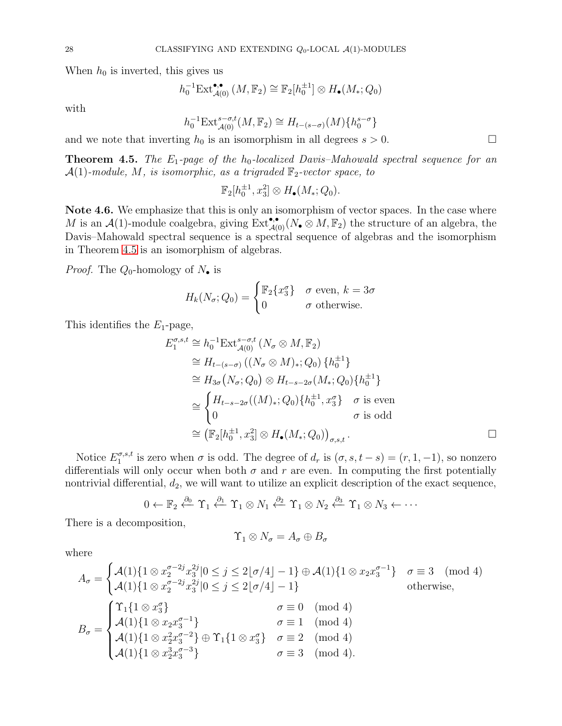When  $h_0$  is inverted, this gives us

$$
h_0^{-1} \mathrm{Ext}^{\bullet,\bullet}_{\mathcal{A}(0)}(M,\mathbb{F}_2) \cong \mathbb{F}_2[h_0^{\pm 1}] \otimes H_\bullet(M_*,Q_0)
$$

with

$$
h_0^{-1} \text{Ext}_{\mathcal{A}(0)}^{s-\sigma,t}(M,\mathbb{F}_2) \cong H_{t-(s-\sigma)}(M) \{h_0^{s-\sigma}\}\
$$

and we note that inverting  $h_0$  is an isomorphism in all degrees  $s > 0$ .

<span id="page-27-0"></span>**Theorem 4.5.** The  $E_1$ -page of the  $h_0$ -localized Davis–Mahowald spectral sequence for an  $\mathcal{A}(1)$ -module, M, is isomorphic, as a trigraded  $\mathbb{F}_2$ -vector space, to

 $\mathbb{F}_2[h_0^{\pm 1}, x_3^2] \otimes H_{\bullet}(M_*; Q_0).$ 

Note 4.6. We emphasize that this is only an isomorphism of vector spaces. In the case where M is an  $\mathcal{A}(1)$ -module coalgebra, giving  $\text{Ext}^{\bullet,\bullet}_{\mathcal{A}(0)}(N_{\bullet}\otimes M,\mathbb{F}_2)$  the structure of an algebra, the Davis–Mahowald spectral sequence is a spectral sequence of algebras and the isomorphism in Theorem [4.5](#page-27-0) is an isomorphism of algebras.

*Proof.* The  $Q_0$ -homology of  $N_{\bullet}$  is

$$
H_k(N_\sigma; Q_0) = \begin{cases} \mathbb{F}_2\{x_3^\sigma\} & \sigma \text{ even, } k = 3\sigma \\ 0 & \sigma \text{ otherwise.} \end{cases}
$$

This identifies the  $E_1$ -page,

$$
E_1^{\sigma,s,t} \cong h_0^{-1} \text{Ext}_{\mathcal{A}(0)}^{s-\sigma,t} (N_\sigma \otimes M, \mathbb{F}_2)
$$
  
\n
$$
\cong H_{t-(s-\sigma)}((N_\sigma \otimes M)_*; Q_0) \{h_0^{\pm 1}\}
$$
  
\n
$$
\cong H_{3\sigma}(N_\sigma; Q_0) \otimes H_{t-s-2\sigma}(M_*, Q_0) \{h_0^{\pm 1}\}
$$
  
\n
$$
\cong \begin{cases} H_{t-s-2\sigma}((M)_*; Q_0) \{h_0^{\pm 1}, x_3^{\sigma}\} & \sigma \text{ is even} \\ 0 & \sigma \text{ is odd} \end{cases}
$$
  
\n
$$
\cong (\mathbb{F}_2[h_0^{\pm 1}, x_3^2] \otimes H_{\bullet}(M_*, Q_0))_{\sigma,s,t}.
$$

Notice  $E_1^{\sigma,s,t}$  $\sigma_{1}^{\sigma,s,t}$  is zero when  $\sigma$  is odd. The degree of  $d_r$  is  $(\sigma, s, t - s) = (r, 1, -1)$ , so nonzero differentials will only occur when both  $\sigma$  and  $r$  are even. In computing the first potentially nontrivial differential,  $d_2$ , we will want to utilize an explicit description of the exact sequence,

$$
0 \leftarrow \mathbb{F}_2 \stackrel{\partial_0}{\leftarrow} \Upsilon_1 \stackrel{\partial_1}{\leftarrow} \Upsilon_1 \otimes N_1 \stackrel{\partial_2}{\leftarrow} \Upsilon_1 \otimes N_2 \stackrel{\partial_3}{\leftarrow} \Upsilon_1 \otimes N_3 \leftarrow \cdots
$$

There is a decomposition,

$$
\Upsilon_1\otimes N_\sigma=A_\sigma\oplus B_\sigma
$$

where

$$
A_{\sigma} = \begin{cases} \mathcal{A}(1)\{1 \otimes x_2^{\sigma-2j} x_3^{2j} | 0 \le j \le 2\lfloor \sigma/4 \rfloor - 1\} \oplus \mathcal{A}(1)\{1 \otimes x_2 x_3^{\sigma-1}\} & \sigma \equiv 3 \pmod{4} \\ \mathcal{A}(1)\{1 \otimes x_2^{\sigma-2j} x_3^{2j} | 0 \le j \le 2\lfloor \sigma/4 \rfloor - 1\} & \text{otherwise,} \end{cases}
$$
  
\n
$$
B_{\sigma} = \begin{cases} \Upsilon_1 \{1 \otimes x_3^{\sigma}\} & \sigma \equiv 0 \pmod{4} \\ \mathcal{A}(1)\{1 \otimes x_2 x_3^{\sigma-1}\} & \sigma \equiv 1 \pmod{4} \\ \mathcal{A}(1)\{1 \otimes x_2^2 x_3^{\sigma-2}\} \oplus \Upsilon_1 \{1 \otimes x_3^{\sigma}\} & \sigma \equiv 2 \pmod{4} \\ \mathcal{A}(1)\{1 \otimes x_2^3 x_3^{\sigma-3}\} & \sigma \equiv 3 \pmod{4}. \end{cases}
$$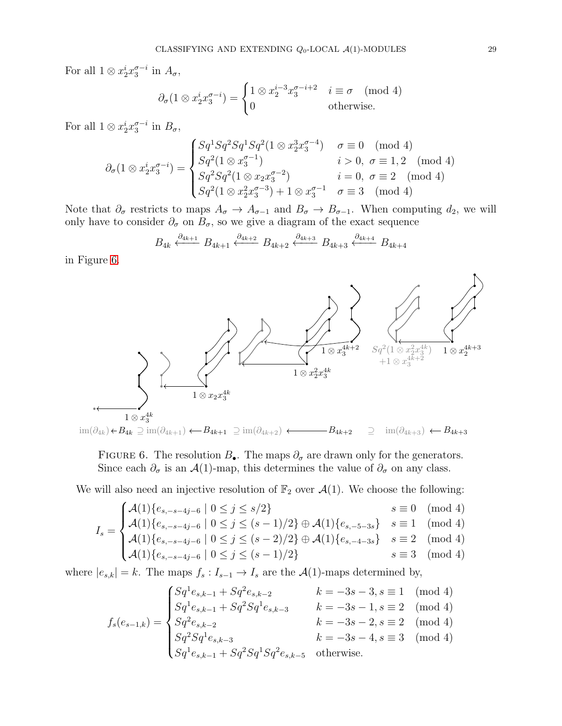For all  $1 \otimes x_2^i x_3^{\sigma - i}$  in  $A_\sigma$ ,

$$
\partial_{\sigma}(1 \otimes x_2^i x_3^{\sigma - i}) = \begin{cases} 1 \otimes x_2^{i-3} x_3^{\sigma - i + 2} & i \equiv \sigma \pmod{4} \\ 0 & \text{otherwise.} \end{cases}
$$

For all  $1 \otimes x_2^i x_3^{\sigma - i}$  in  $B_\sigma$ ,

$$
\partial_{\sigma}(1 \otimes x_2^i x_3^{\sigma - i}) = \begin{cases}\nSq^1 Sq^2 Sq^1 Sq^2 (1 \otimes x_2^3 x_3^{\sigma - 4}) & \sigma \equiv 0 \pmod{4} \\
Sq^2 (1 \otimes x_3^{\sigma - 1}) & i > 0, \sigma \equiv 1, 2 \pmod{4} \\
Sq^2 Sq^2 (1 \otimes x_2 x_3^{\sigma - 2}) & i = 0, \sigma \equiv 2 \pmod{4} \\
Sq^2 (1 \otimes x_2^2 x_3^{\sigma - 3}) + 1 \otimes x_3^{\sigma - 1} & \sigma \equiv 3 \pmod{4}\n\end{cases}
$$

Note that  $\partial_{\sigma}$  restricts to maps  $A_{\sigma} \to A_{\sigma-1}$  and  $B_{\sigma} \to B_{\sigma-1}$ . When computing  $d_2$ , we will only have to consider  $\partial_{\sigma}$  on  $B_{\sigma}$ , so we give a diagram of the exact sequence

$$
B_{4k} \xleftarrow{\partial_{4k+1}} B_{4k+1} \xleftarrow{\partial_{4k+2}} B_{4k+2} \xleftarrow{\partial_{4k+3}} B_{4k+3} \xleftarrow{\partial_{4k+4}} B_{4k+4}
$$

in Figure [6.](#page-28-0)



<span id="page-28-0"></span>FIGURE 6. The resolution  $B_{\bullet}$ . The maps  $\partial_{\sigma}$  are drawn only for the generators. Since each  $\partial_{\sigma}$  is an  $\mathcal{A}(1)$ -map, this determines the value of  $\partial_{\sigma}$  on any class.

We will also need an injective resolution of  $\mathbb{F}_2$  over  $\mathcal{A}(1)$ . We choose the following:

$$
I_s = \begin{cases} \mathcal{A}(1) \{ e_{s, -s-4j-6} \mid 0 \le j \le s/2 \} & s \equiv 0 \pmod{4} \\ \mathcal{A}(1) \{ e_{s, -s-4j-6} \mid 0 \le j \le (s-1)/2 \} \oplus \mathcal{A}(1) \{ e_{s, -5-3s} \} & s \equiv 1 \pmod{4} \\ \mathcal{A}(1) \{ e_{s, -s-4j-6} \mid 0 \le j \le (s-1)/2 \} \oplus \mathcal{A}(1) \{ e_{s, -5-3s} \} & s \equiv 1 \pmod{4} \end{cases}
$$

$$
\begin{cases} \mathcal{A}(1)\{e_{s,-s-4j-6} \mid 0 \le j \le (s-2)/2\} \oplus \mathcal{A}(1)\{e_{s,-4-3s}\} & s \equiv 2 \pmod{4} \\ \mathcal{A}(1)\{e_{s,-s-4j-6} \mid 0 \le j \le (s-1)/2\} & s \equiv 3 \pmod{4} \end{cases}
$$

$$
\mathcal{A}(1)\{e_{s,-s-4j-6} \mid 0 \le j \le (s-1)/2\} \qquad s \equiv 3 \pmod{4}
$$

where  $|e_{s,k}| = k$ . The maps  $f_s : I_{s-1} \to I_s$  are the  $\mathcal{A}(1)$ -maps determined by,

$$
f_s(e_{s-1,k}) = \begin{cases} Sq^1e_{s,k-1} + Sq^2e_{s,k-2} & k = -3s - 3, s \equiv 1 \pmod{4} \\ Sq^1e_{s,k-1} + Sq^2Sq^1e_{s,k-3} & k = -3s - 1, s \equiv 2 \pmod{4} \\ Sq^2e_{s,k-2} & k = -3s - 2, s \equiv 2 \pmod{4} \\ Sq^2Sq^1e_{s,k-3} & k = -3s - 4, s \equiv 3 \pmod{4} \\ Sq^1e_{s,k-1} + Sq^2Sq^1Sq^2e_{s,k-5} & \text{otherwise.} \end{cases}
$$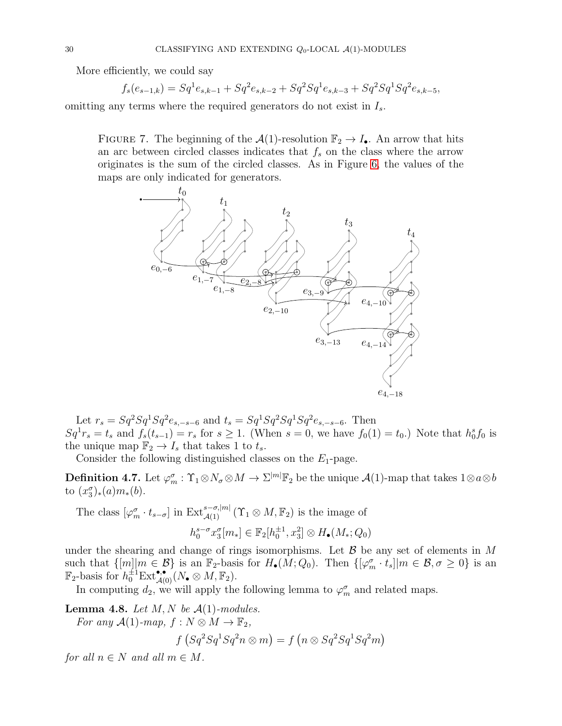More efficiently, we could say

$$
f_s(e_{s-1,k}) = Sq^1e_{s,k-1} + Sq^2e_{s,k-2} + Sq^2Sq^1e_{s,k-3} + Sq^2Sq^1Sq^2e_{s,k-5},
$$

omitting any terms where the required generators do not exist in  $I_s$ .

FIGURE 7. The beginning of the  $\mathcal{A}(1)$ -resolution  $\mathbb{F}_2 \to I_{\bullet}$ . An arrow that hits an arc between circled classes indicates that  $f_s$  on the class where the arrow originates is the sum of the circled classes. As in Figure [6,](#page-28-0) the values of the maps are only indicated for generators.



Let  $r_s = Sq^2Sq^1Sq^2e_{s, -s-6}$  and  $t_s = Sq^1Sq^2Sq^1Sq^2e_{s, -s-6}$ . Then  $Sq^{1}r_{s} = t_{s}$  and  $f_{s}(t_{s-1}) = r_{s}$  for  $s \geq 1$ . (When  $s = 0$ , we have  $f_{0}(1) = t_{0}$ .) Note that  $h_{0}^{s}f_{0}$  is the unique map  $\mathbb{F}_2 \to I_s$  that takes 1 to  $t_s$ .

Consider the following distinguished classes on the  $E_1$ -page.

**Definition 4.7.** Let  $\varphi_m^{\sigma} : \Upsilon_1 \otimes N_{\sigma} \otimes M \to \Sigma^{|m|} \mathbb{F}_2$  be the unique  $\mathcal{A}(1)$ -map that takes  $1 \otimes a \otimes b$ to  $(x_3^{\sigma})_*(a)m_*(b)$ .

The class  $[\varphi_m^{\sigma} \cdot t_{s-\sigma}]$  in  $\operatorname{Ext}_{\mathcal{A}(1)}^{s-\sigma,|m|}(\Upsilon_1 \otimes M, \mathbb{F}_2)$  is the image of

$$
h_0^{s-\sigma} x_3^{\sigma}[m_*] \in \mathbb{F}_2[h_0^{\pm 1}, x_3^2] \otimes H_{\bullet}(M_*; Q_0)
$$

under the shearing and change of rings isomorphisms. Let  $\mathcal B$  be any set of elements in M such that  $\{[m] | m \in \mathcal{B} \}$  is an  $\mathbb{F}_2$ -basis for  $H_{\bullet}(M; Q_0)$ . Then  $\{[\varphi_m^{\sigma} \cdot t_s] | m \in \mathcal{B}, \sigma \geq 0\}$  is an  $\mathbb{F}_2$ -basis for  $h_0^{\pm 1} \text{Ext}^{\bullet,\bullet}_{\mathcal{A}(0)}(N_{\bullet} \otimes M, \mathbb{F}_2).$ 

In computing  $d_2$ , we will apply the following lemma to  $\varphi_m^{\sigma}$  and related maps.

<span id="page-29-0"></span>**Lemma 4.8.** Let  $M, N$  be  $\mathcal{A}(1)$ -modules.

For any  $\mathcal{A}(1)$ -map,  $f : N \otimes M \to \mathbb{F}_2$ ,

$$
f(Sq2Sq1Sq2n \otimes m) = f(n \otimes Sq2Sq1Sq2m)
$$

for all  $n \in N$  and all  $m \in M$ .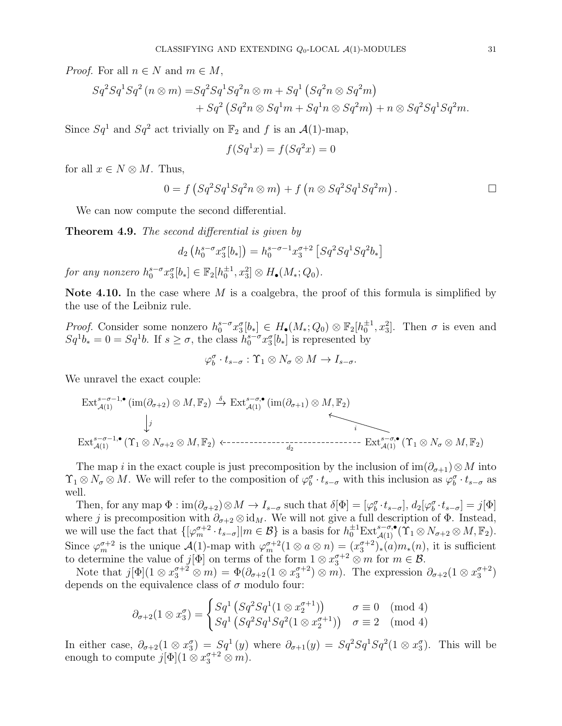*Proof.* For all  $n \in N$  and  $m \in M$ ,

$$
Sq2Sq1Sq2 (n \otimes m) = Sq2Sq1Sq2n \otimes m + Sq1 (Sq2n \otimes Sq2m) + Sq2 (Sq2n \otimes Sq1m + Sq1n \otimes Sq2m) + n \otimes Sq2Sq1Sq2m.
$$

Since  $Sq^1$  and  $Sq^2$  act trivially on  $\mathbb{F}_2$  and f is an  $\mathcal{A}(1)$ -map,

$$
f(Sq^1x) = f(Sq^2x) = 0
$$

for all  $x \in N \otimes M$ . Thus,

$$
0 = f(Sq2Sq1Sq2n \otimes m) + f(n \otimes Sq2Sq1Sq2m).
$$

We can now compute the second differential.

<span id="page-30-0"></span>**Theorem 4.9.** The second differential is given by

$$
d_2\left(h_0^{s-\sigma}x_3^{\sigma}[b_*]\right) = h_0^{s-\sigma-1}x_3^{\sigma+2}\left[Sq^2Sq^1Sq^2b_*\right]
$$

for any nonzero  $h_0^{s-\sigma} x_3^{\sigma} [b_*] \in \mathbb{F}_2[h_0^{\pm 1}, x_3^2] \otimes H_{\bullet}(M_*; Q_0)$ .

Note 4.10. In the case where M is a coalgebra, the proof of this formula is simplified by the use of the Leibniz rule.

*Proof.* Consider some nonzero  $h_0^{s-\sigma}x_3^{\sigma}[b_*] \in H_{\bullet}(M_*, Q_0) \otimes \mathbb{F}_2[h_0^{\pm 1}, x_3^2]$ . Then  $\sigma$  is even and  $Sq^1b_* = 0 = Sq^1b$ . If  $s \ge \sigma$ , the class  $h_0^{s-\sigma}x_3^{\sigma}[b_*]$  is represented by

$$
\varphi_b^{\sigma} \cdot t_{s-\sigma} : \Upsilon_1 \otimes N_{\sigma} \otimes M \to I_{s-\sigma}.
$$

We unravel the exact couple:

Ext<sup>s</sup>−σ−1,• <sup>A</sup>(1) (im(∂<sup>σ</sup>+2) <sup>⊗</sup> M, <sup>F</sup>2) Ext<sup>s</sup>−σ,• <sup>A</sup>(1) (im(∂<sup>σ</sup>+1) <sup>⊗</sup> M, <sup>F</sup>2) Ext<sup>s</sup>−σ−1,• <sup>A</sup>(1) (Υ<sup>1</sup> <sup>⊗</sup> <sup>N</sup><sup>σ</sup>+2 <sup>⊗</sup> M, <sup>F</sup>2) Ext<sup>s</sup>−σ,• <sup>A</sup>(1) (Υ<sup>1</sup> <sup>⊗</sup> <sup>N</sup><sup>σ</sup> <sup>⊗</sup> M, <sup>F</sup>2) δ j i d2

The map i in the exact couple is just precomposition by the inclusion of  $\text{im}(\partial_{\sigma+1})\otimes M$  into  $\Upsilon_1 \otimes N_\sigma \otimes M$ . We will refer to the composition of  $\varphi_b^{\sigma} \cdot t_{s-\sigma}$  with this inclusion as  $\varphi_b^{\sigma} \cdot t_{s-\sigma}$  as well.

Then, for any map  $\Phi: \text{im}(\partial_{\sigma+2}) \otimes M \to I_{s-\sigma}$  such that  $\delta[\Phi] = [\varphi_b^{\sigma} \cdot t_{s-\sigma}], d_2[\varphi_b^{\sigma} \cdot t_{s-\sigma}] = j[\Phi]$ where j is precomposition with  $\partial_{\sigma+2} \otimes id_M$ . We will not give a full description of  $\Phi$ . Instead, we will use the fact that  $\{[\varphi_m^{\sigma+2} \cdot t_{s-\sigma}]| m \in \mathcal{B}\}\)$  is a basis for  $h_0^{\pm 1} \text{Ext}_{\mathcal{A}(1)}^{s-\sigma,\bullet}(\Upsilon_1 \otimes N_{\sigma+2} \otimes M, \mathbb{F}_2).$ Since  $\varphi_m^{\sigma+2}$  is the unique  $\mathcal{A}(1)$ -map with  $\varphi_m^{\sigma+2}(1 \otimes a \otimes n) = (x_3^{\sigma+2})_*(a)m_*(n)$ , it is sufficient to determine the value of  $j[\Phi]$  on terms of the form  $1 \otimes x_3^{\sigma+2} \otimes m$  for  $m \in \mathcal{B}$ .

Note that  $j[\Phi](1 \otimes x_3^{\sigma+2} \otimes m) = \Phi(\partial_{\sigma+2}(1 \otimes x_3^{\sigma+2}) \otimes m)$ . The expression  $\partial_{\sigma+2}(1 \otimes x_3^{\sigma+2})$ depends on the equivalence class of  $\sigma$  modulo four:

$$
\partial_{\sigma+2}(1\otimes x_3^{\sigma}) = \begin{cases} Sq^1 \left( Sq^2Sq^1(1\otimes x_2^{\sigma+1}) \right) & \sigma \equiv 0 \pmod{4} \\ Sq^1 \left( Sq^2Sq^1Sq^2(1\otimes x_2^{\sigma+1}) \right) & \sigma \equiv 2 \pmod{4} \end{cases}
$$

In either case,  $\partial_{\sigma+2}(1 \otimes x_3^{\sigma}) = Sq^1(y)$  where  $\partial_{\sigma+1}(y) = Sq^2Sq^1Sq^2(1 \otimes x_3^{\sigma})$ . This will be enough to compute  $j[\Phi](1 \otimes x_3^{\sigma+2} \otimes m)$ .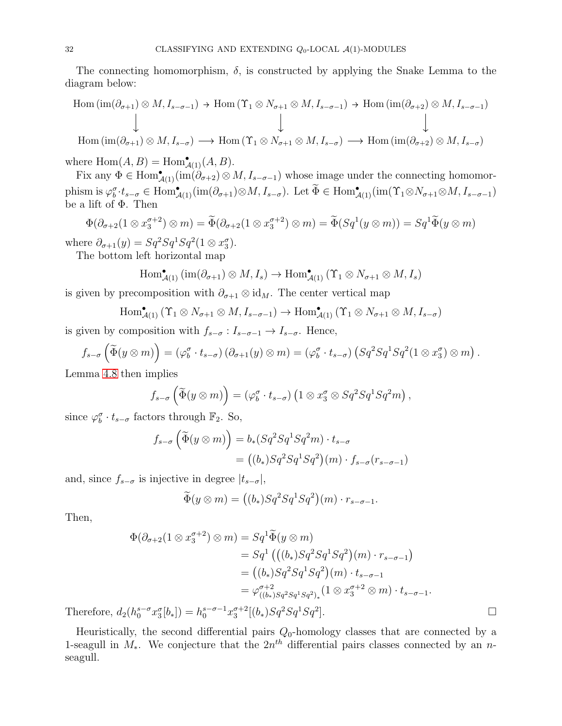The connecting homomorphism,  $\delta$ , is constructed by applying the Snake Lemma to the diagram below:

$$
\text{Hom } (\text{im}(\partial_{\sigma+1}) \otimes M, I_{s-\sigma-1}) \to \text{Hom } (\Upsilon_1 \otimes N_{\sigma+1} \otimes M, I_{s-\sigma-1}) \to \text{Hom } (\text{im}(\partial_{\sigma+2}) \otimes M, I_{s-\sigma-1})
$$
\n
$$
\downarrow \qquad \qquad \downarrow
$$
\n
$$
\text{Hom } (\text{im}(\partial_{\sigma+1}) \otimes M, I_{s-\sigma}) \longrightarrow \text{Hom } (\Upsilon_1 \otimes N_{\sigma+1} \otimes M, I_{s-\sigma}) \longrightarrow \text{Hom } (\text{im}(\partial_{\sigma+2}) \otimes M, I_{s-\sigma})
$$

where  $Hom(A, B) = Hom<sup>•</sup><sub>A(1)</sub>(A, B).$ 

Fix any  $\Phi \in \text{Hom}_{\mathcal{A}(1)}^{\bullet}(\text{im}(\partial_{\sigma+2}) \otimes M, I_{s-\sigma-1})$  whose image under the connecting homomorphism is  $\varphi_b^{\sigma} \cdot t_{s-\sigma} \in \text{Hom}_{\mathcal{A}(1)}^{\bullet}(\text{im}(\partial_{\sigma+1}) \otimes M, I_{s-\sigma})$ . Let  $\widetilde{\Phi} \in \text{Hom}_{\mathcal{A}(1)}^{\bullet}(\text{im}(\Upsilon_1 \otimes N_{\sigma+1} \otimes M, I_{s-\sigma-1}))$ be a lift of Φ. Then

$$
\Phi(\partial_{\sigma+2}(1\otimes x_3^{\sigma+2})\otimes m) = \widetilde{\Phi}(\partial_{\sigma+2}(1\otimes x_3^{\sigma+2})\otimes m) = \widetilde{\Phi}(Sq^1(y\otimes m)) = Sq^1\widetilde{\Phi}(y\otimes m)
$$

where  $\partial_{\sigma+1}(y) = Sq^2Sq^1Sq^2(1 \otimes x_3^{\sigma})$ .

The bottom left horizontal map

$$
\operatorname{Hom}^{\bullet}_{\mathcal{A}(1)}(\operatorname{im}(\partial_{\sigma+1})\otimes M,I_s)\to \operatorname{Hom}^{\bullet}_{\mathcal{A}(1)}(\Upsilon_1\otimes N_{\sigma+1}\otimes M,I_s)
$$

is given by precomposition with  $\partial_{\sigma+1} \otimes id_M$ . The center vertical map

 $\text{Hom}_{\mathcal{A}(1)}^{\bullet}(\Upsilon_1 \otimes N_{\sigma+1} \otimes M, I_{s-\sigma-1}) \to \text{Hom}_{\mathcal{A}(1)}^{\bullet}(\Upsilon_1 \otimes N_{\sigma+1} \otimes M, I_{s-\sigma})$ 

is given by composition with  $f_{s-\sigma}: I_{s-\sigma-1} \to I_{s-\sigma}$ . Hence,

$$
f_{s-\sigma}\left(\widetilde{\Phi}(y\otimes m)\right)=(\varphi_b^{\sigma}\cdot t_{s-\sigma})\left(\partial_{\sigma+1}(y)\otimes m\right)=(\varphi_b^{\sigma}\cdot t_{s-\sigma})\left(Sq^2Sq^1Sq^2(1\otimes x_3^{\sigma})\otimes m\right).
$$

Lemma [4.8](#page-29-0) then implies

$$
f_{s-\sigma}\left(\widetilde{\Phi}(y\otimes m)\right)=(\varphi_b^{\sigma}\cdot t_{s-\sigma})\left(1\otimes x_3^{\sigma}\otimes Sq^2Sq^1Sq^2m\right),
$$

since  $\varphi_b^{\sigma} \cdot t_{s-\sigma}$  factors through  $\mathbb{F}_2$ . So,

$$
f_{s-\sigma}(\widetilde{\Phi}(y \otimes m)) = b_*(Sq^2Sq^1Sq^2m) \cdot t_{s-\sigma}
$$
  
= ((b\_\*)Sq^2Sq^1Sq^2)(m) \cdot f\_{s-\sigma}(r\_{s-\sigma-1})

and, since  $f_{s-\sigma}$  is injective in degree  $|t_{s-\sigma}|$ ,

$$
\widetilde{\Phi}(y \otimes m) = ((b_*)Sq^2Sq^1Sq^2)(m) \cdot r_{s-\sigma-1}.
$$

Then,

$$
\Phi(\partial_{\sigma+2}(1 \otimes x_3^{\sigma+2}) \otimes m) = Sq^1 \widetilde{\Phi}(y \otimes m)
$$
  
\n
$$
= Sq^1 ((b_*)Sq^2 Sq^1 Sq^2)(m) \cdot r_{s-\sigma-1})
$$
  
\n
$$
= ((b_*)Sq^2 Sq^1 Sq^2)(m) \cdot t_{s-\sigma-1}
$$
  
\n
$$
= \varphi_{((b_*)Sq^2 Sq^1 Sq^2)_*}^{\sigma+2} (1 \otimes x_3^{\sigma+2} \otimes m) \cdot t_{s-\sigma-1}.
$$
  
\n
$$
l_2(h_0^{s-\sigma} x_3^{\sigma}[b_*]) = h_0^{s-\sigma-1} x_3^{\sigma+2}[(b_*)Sq^2 Sq^1 Sq^2].
$$

Therefore,  $d_2(h_0^{s-\sigma}x_3^{\sigma}[b_*]) = h_0^{s-\sigma-1}x_3^{\sigma+2}[(b_*)Sq^2Sq^1Sq^2]$ 

Heuristically, the second differential pairs  $Q_0$ -homology classes that are connected by a 1-seagull in  $M_*$ . We conjecture that the  $2n<sup>th</sup>$  differential pairs classes connected by an nseagull.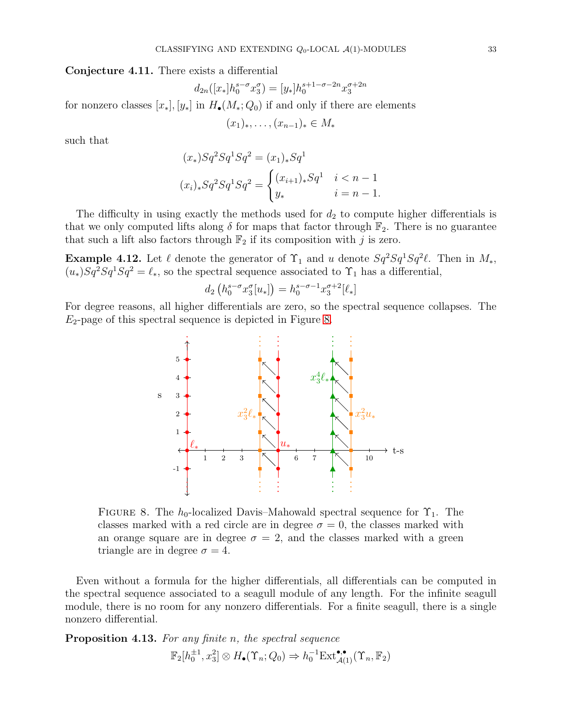<span id="page-32-2"></span>Conjecture 4.11. There exists a differential

$$
d_{2n}([x_*]h_0^{s-\sigma}x_3^{\sigma}) = [y_*]h_0^{s+1-\sigma-2n}x_3^{\sigma+2n}
$$

for nonzero classes  $[x_*], [y_*]$  in  $H_{\bullet}(M_*, Q_0)$  if and only if there are elements

$$
(x_1)_*, \ldots, (x_{n-1})_* \in M_*
$$

such that

$$
(x_*)Sq^2Sq^1Sq^2 = (x_1)_*Sq^1
$$
  

$$
(x_i)_*Sq^2Sq^1Sq^2 = \begin{cases} (x_{i+1})_*Sq^1 & i < n-1\\ y_* & i = n-1. \end{cases}
$$

The difficulty in using exactly the methods used for  $d_2$  to compute higher differentials is that we only computed lifts along  $\delta$  for maps that factor through  $\mathbb{F}_2$ . There is no guarantee that such a lift also factors through  $\mathbb{F}_2$  if its composition with j is zero.

**Example 4.12.** Let  $\ell$  denote the generator of  $\Upsilon_1$  and u denote  $Sq^2Sq^1Sq^2\ell$ . Then in  $M_*$ ,  $(u_*)Sq^2Sq^1Sq^2 = \ell_*,$  so the spectral sequence associated to  $\Upsilon_1$  has a differential,

$$
d_2\left(h_0^{s-\sigma}x_3^{\sigma}[u_*]\right) = h_0^{s-\sigma-1}x_3^{\sigma+2}[\ell_*]
$$

For degree reasons, all higher differentials are zero, so the spectral sequence collapses. The  $E_2$ -page of this spectral sequence is depicted in Figure [8.](#page-32-1)



<span id="page-32-1"></span>FIGURE 8. The  $h_0$ -localized Davis–Mahowald spectral sequence for  $\Upsilon_1$ . The classes marked with a red circle are in degree  $\sigma = 0$ , the classes marked with an orange square are in degree  $\sigma = 2$ , and the classes marked with a green triangle are in degree  $\sigma = 4$ .

Even without a formula for the higher differentials, all differentials can be computed in the spectral sequence associated to a seagull module of any length. For the infinite seagull module, there is no room for any nonzero differentials. For a finite seagull, there is a single nonzero differential.

<span id="page-32-0"></span>Proposition 4.13. For any finite n, the spectral sequence

$$
\mathbb{F}_2[h_0^{\pm 1}, x_3^2] \otimes H_{\bullet}(\Upsilon_n; Q_0) \Rightarrow h_0^{-1} \text{Ext}^{\bullet,\bullet}_{\mathcal{A}(1)}(\Upsilon_n, \mathbb{F}_2)
$$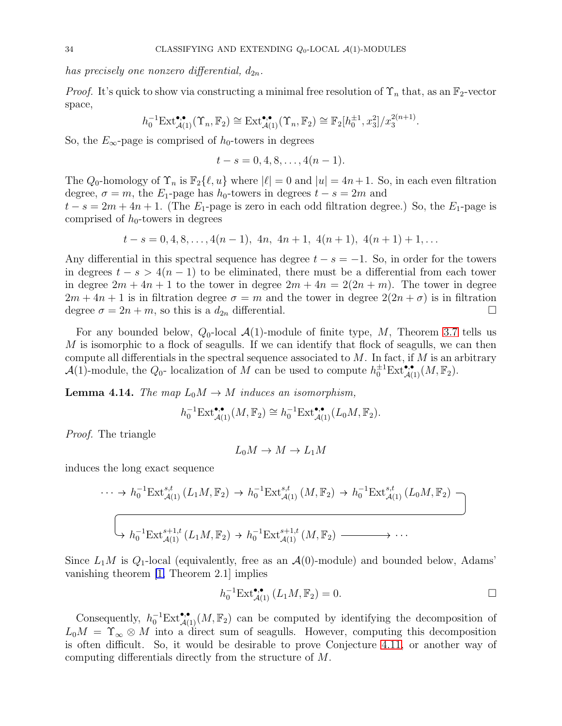has precisely one nonzero differential,  $d_{2n}$ .

*Proof.* It's quick to show via constructing a minimal free resolution of  $\Upsilon_n$  that, as an  $\mathbb{F}_2$ -vector space,

$$
h_0^{-1} \text{Ext}^{\bullet,\bullet}_{\mathcal{A}(1)}(\Upsilon_n,\mathbb{F}_2) \cong \text{Ext}^{\bullet,\bullet}_{\mathcal{A}(1)}(\Upsilon_n,\mathbb{F}_2) \cong \mathbb{F}_2[h_0^{\pm 1},x_3^2]/x_3^{2(n+1)}.
$$

So, the  $E_{\infty}$ -page is comprised of  $h_0$ -towers in degrees

$$
t - s = 0, 4, 8, \ldots, 4(n - 1).
$$

The  $Q_0$ -homology of  $\Upsilon_n$  is  $\mathbb{F}_2\{\ell, u\}$  where  $|\ell|=0$  and  $|u|=4n+1$ . So, in each even filtration degree,  $\sigma = m$ , the  $E_1$ -page has  $h_0$ -towers in degrees  $t - s = 2m$  and

 $t - s = 2m + 4n + 1$ . (The  $E_1$ -page is zero in each odd filtration degree.) So, the  $E_1$ -page is comprised of  $h_0$ -towers in degrees

$$
t-s=0,4,8,\ldots,4(n-1), 4n, 4n+1, 4(n+1), 4(n+1)+1,\ldots
$$

Any differential in this spectral sequence has degree  $t - s = -1$ . So, in order for the towers in degrees  $t - s > 4(n - 1)$  to be eliminated, there must be a differential from each tower in degree  $2m + 4n + 1$  to the tower in degree  $2m + 4n = 2(2n + m)$ . The tower in degree  $2m + 4n + 1$  is in filtration degree  $\sigma = m$  and the tower in degree  $2(2n + \sigma)$  is in filtration degree  $\sigma = 2n + m$ , so this is a  $d_{2n}$  differential.

For any bounded below,  $Q_0$ -local  $\mathcal{A}(1)$ -module of finite type, M, Theorem [3.7](#page-5-1) tells us  $M$  is isomorphic to a flock of seagulls. If we can identify that flock of seagulls, we can then compute all differentials in the spectral sequence associated to  $M$ . In fact, if  $M$  is an arbitrary  $\mathcal{A}(1)$ -module, the  $Q_0$ - localization of M can be used to compute  $h_0^{\pm 1} \text{Ext}^{\bullet,\bullet}_{\mathcal{A}(1)}(M,\mathbb{F}_2)$ .

<span id="page-33-0"></span>**Lemma 4.14.** The map  $L_0M \to M$  induces an isomorphism,

$$
h_0^{-1} \mathrm{Ext}^{\bullet,\bullet}_{\mathcal{A}(1)}(M,\mathbb{F}_2) \cong h_0^{-1} \mathrm{Ext}^{\bullet,\bullet}_{\mathcal{A}(1)}(L_0M,\mathbb{F}_2).
$$

Proof. The triangle

$$
L_0 M \to M \to L_1 M
$$

induces the long exact sequence

$$
\cdots \to h_0^{-1} \text{Ext}_{\mathcal{A}(1)}^{s,t} (L_1 M, \mathbb{F}_2) \to h_0^{-1} \text{Ext}_{\mathcal{A}(1)}^{s,t} (M, \mathbb{F}_2) \to h_0^{-1} \text{Ext}_{\mathcal{A}(1)}^{s,t} (L_0 M, \mathbb{F}_2) -
$$
  

$$
\left( \longrightarrow h_0^{-1} \text{Ext}_{\mathcal{A}(1)}^{s+1,t} (L_1 M, \mathbb{F}_2) \to h_0^{-1} \text{Ext}_{\mathcal{A}(1)}^{s+1,t} (M, \mathbb{F}_2) \longrightarrow \cdots \right)
$$

Since  $L_1M$  is  $Q_1$ -local (equivalently, free as an  $\mathcal{A}(0)$ -module) and bounded below, Adams' vanishing theorem [\[1,](#page-35-12) Theorem 2.1] implies

$$
h_0^{-1} \text{Ext}^{\bullet,\bullet}_{\mathcal{A}(1)} (L_1 M, \mathbb{F}_2) = 0. \Box
$$

Consequently,  $h_0^{-1}Ext_{\mathcal{A}(1)}^{\bullet,\bullet}(M,\mathbb{F}_2)$  can be computed by identifying the decomposition of  $L_0M = \Upsilon_{\infty} \otimes M$  into a direct sum of seagulls. However, computing this decomposition is often difficult. So, it would be desirable to prove Conjecture [4.11,](#page-32-2) or another way of computing differentials directly from the structure of M.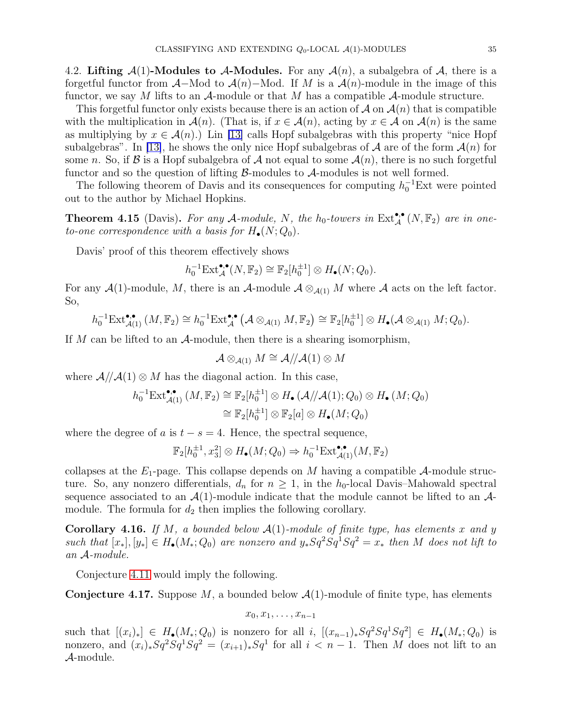<span id="page-34-0"></span>4.2. Lifting  $A(1)$ -Modules to A-Modules. For any  $A(n)$ , a subalgebra of A, there is a forgetful functor from  $\mathcal{A}-\text{Mod}$  to  $\mathcal{A}(n)-\text{Mod}$ . If M is a  $\mathcal{A}(n)-\text{module}$  in the image of this functor, we say M lifts to an  $\mathcal{A}$ -module or that M has a compatible  $\mathcal{A}$ -module structure.

This forgetful functor only exists because there is an action of  $\mathcal A$  on  $\mathcal A(n)$  that is compatible with the multiplication in  $\mathcal{A}(n)$ . (That is, if  $x \in \mathcal{A}(n)$ , acting by  $x \in \mathcal{A}$  on  $\mathcal{A}(n)$  is the same as multiplying by  $x \in \mathcal{A}(n)$ . Lin [\[13\]](#page-36-1) calls Hopf subalgebras with this property "nice Hopf" subalgebras". In [\[13\]](#page-36-1), he shows the only nice Hopf subalgebras of A are of the form  $\mathcal{A}(n)$  for some n. So, if  $\beta$  is a Hopf subalgebra of  $\mathcal A$  not equal to some  $\mathcal A(n)$ , there is no such forgetful functor and so the question of lifting  $\beta$ -modules to  $\mathcal{A}$ -modules is not well formed.

The following theorem of Davis and its consequences for computing  $h_0^{-1}$ Ext were pointed out to the author by Michael Hopkins.

**Theorem 4.15** (Davis). For any A-module, N, the  $h_0$ -towers in  $\text{Ext}_{\mathcal{A}}^{\bullet,\bullet}(N,\mathbb{F}_2)$  are in oneto-one correspondence with a basis for  $H_{\bullet}(N; Q_0)$ .

Davis' proof of this theorem effectively shows

$$
h_0^{-1} \mathrm{Ext}_{\mathcal{A}}^{\bullet,\bullet}(N,\mathbb{F}_2) \cong \mathbb{F}_2[h_0^{\pm 1}] \otimes H_{\bullet}(N;Q_0).
$$

For any  $\mathcal{A}(1)$ -module, M, there is an  $\mathcal{A}$ -module  $\mathcal{A} \otimes_{\mathcal{A}(1)} M$  where  $\mathcal{A}$  acts on the left factor. So,

$$
h_0^{-1}\mathrm{Ext}_{\mathcal{A}(1)}^{\bullet,\bullet}(M,\mathbb{F}_2)\cong h_0^{-1}\mathrm{Ext}_{\mathcal{A}}^{\bullet,\bullet}(\mathcal{A}\otimes_{\mathcal{A}(1)}M,\mathbb{F}_2)\cong \mathbb{F}_2[h_0^{\pm 1}]\otimes H_\bullet(\mathcal{A}\otimes_{\mathcal{A}(1)}M;Q_0).
$$

If M can be lifted to an  $\mathcal{A}\text{-module}$ , then there is a shearing isomorphism,

$$
\mathcal{A}\otimes_{\mathcal{A}(1)} M\cong \mathcal{A}/\!/\mathcal{A}(1)\otimes M
$$

where  $\mathcal{A}/\mathcal{A}(1) \otimes M$  has the diagonal action. In this case,

$$
h_0^{-1} \text{Ext}_{\mathcal{A}(1)}^{\bullet,\bullet} (M, \mathbb{F}_2) \cong \mathbb{F}_2[h_0^{\pm 1}] \otimes H_{\bullet}(\mathcal{A}/\mathcal{A}(1); Q_0) \otimes H_{\bullet}(M; Q_0)
$$

$$
\cong \mathbb{F}_2[h_0^{\pm 1}] \otimes \mathbb{F}_2[a] \otimes H_{\bullet}(M; Q_0)
$$

where the degree of a is  $t - s = 4$ . Hence, the spectral sequence,

$$
\mathbb{F}_2[h_0^{\pm 1}, x_3^2] \otimes H_{\bullet}(M; Q_0) \Rightarrow h_0^{-1} \mathrm{Ext}_{\mathcal{A}(1)}^{\bullet,\bullet}(M, \mathbb{F}_2)
$$

collapses at the  $E_1$ -page. This collapse depends on M having a compatible A-module structure. So, any nonzero differentials,  $d_n$  for  $n \geq 1$ , in the  $h_0$ -local Davis–Mahowald spectral sequence associated to an  $\mathcal{A}(1)$ -module indicate that the module cannot be lifted to an  $\mathcal{A}$ module. The formula for  $d_2$  then implies the following corollary.

<span id="page-34-1"></span>**Corollary 4.16.** If M, a bounded below  $A(1)$ -module of finite type, has elements x and y such that  $[x_*], [y_*] \in H_{\bullet}(M_*, Q_0)$  are nonzero and  $y_*Sq^2Sq^1Sq^2 = x_*$  then M does not lift to an A-module.

Conjecture [4.11](#page-32-2) would imply the following.

**Conjecture 4.17.** Suppose M, a bounded below  $\mathcal{A}(1)$ -module of finite type, has elements

$$
x_0, x_1, \ldots, x_{n-1}
$$

such that  $[(x_i)_*] \in H_{\bullet}(M_*, Q_0)$  is nonzero for all i,  $[(x_{n-1})_*Sq^2Sq^1Sq^2] \in H_{\bullet}(M_*, Q_0)$  is nonzero, and  $(x_i)_*Sq^2Sq^1Sq^2 = (x_{i+1})_*Sq^1$  for all  $i < n-1$ . Then M does not lift to an A-module.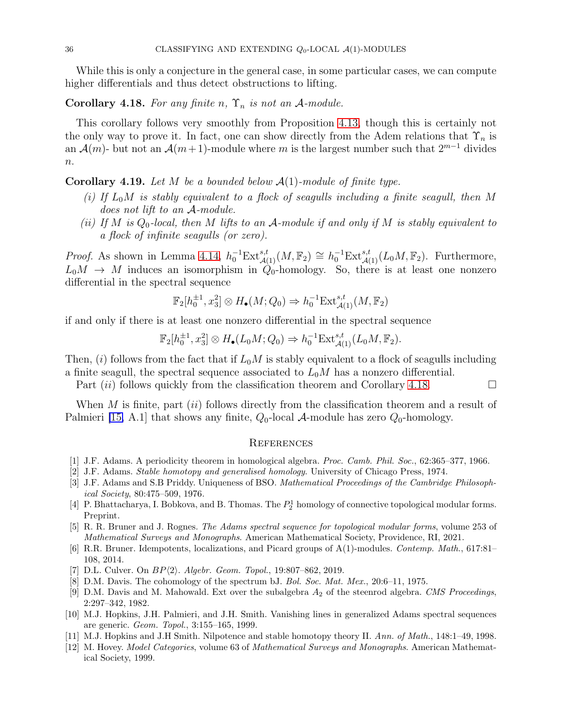While this is only a conjecture in the general case, in some particular cases, we can compute higher differentials and thus detect obstructions to lifting.

<span id="page-35-13"></span>Corollary 4.18. For any finite n,  $\Upsilon_n$  is not an A-module.

This corollary follows very smoothly from Proposition [4.13,](#page-32-0) though this is certainly not the only way to prove it. In fact, one can show directly from the Adem relations that  $\Upsilon_n$  is an  $\mathcal{A}(m)$ - but not an  $\mathcal{A}(m+1)$ -module where m is the largest number such that  $2^{m-1}$  divides  $n$ .

<span id="page-35-7"></span>**Corollary 4.19.** Let M be a bounded below  $\mathcal{A}(1)$ -module of finite type.

- (i) If  $L_0M$  is stably equivalent to a flock of seagulls including a finite seagull, then M does not lift to an A-module.
- (ii) If M is  $Q_0$ -local, then M lifts to an A-module if and only if M is stably equivalent to a flock of infinite seagulls (or zero).

*Proof.* As shown in Lemma [4.14,](#page-33-0)  $h_0^{-1}Ext_{\mathcal{A}(1)}^{s,t}(M,\mathbb{F}_2) \cong h_0^{-1}Ext_{\mathcal{A}(1)}^{s,t}(L_0M,\mathbb{F}_2)$ . Furthermore,  $L_0M \rightarrow M$  induces an isomorphism in  $\hat{Q}_0$ -homology. So, there is at least one nonzero differential in the spectral sequence

$$
\mathbb{F}_2[h_0^{\pm 1}, x_3^2] \otimes H_{\bullet}(M; Q_0) \Rightarrow h_0^{-1} \text{Ext}_{\mathcal{A}(1)}^{s,t}(M, \mathbb{F}_2)
$$

if and only if there is at least one nonzero differential in the spectral sequence

$$
\mathbb{F}_2[h_0^{\pm 1}, x_3^2] \otimes H_{\bullet}(L_0M; Q_0) \Rightarrow h_0^{-1} \text{Ext}_{\mathcal{A}(1)}^{s,t}(L_0M, \mathbb{F}_2).
$$

Then, (i) follows from the fact that if  $L_0M$  is stably equivalent to a flock of seagulls including a finite seagull, the spectral sequence associated to  $L_0M$  has a nonzero differential.

Part  $(ii)$  follows quickly from the classification theorem and Corollary [4.18.](#page-35-13)

When  $M$  is finite, part  $(ii)$  follows directly from the classification theorem and a result of Palmieri [\[15,](#page-36-2) A.1] that shows any finite,  $Q_0$ -local  $\mathcal A$ -module has zero  $Q_0$ -homology.

#### **REFERENCES**

- <span id="page-35-12"></span><span id="page-35-2"></span>[1] J.F. Adams. A periodicity theorem in homological algebra. Proc. Camb. Phil. Soc., 62:365–377, 1966.
- <span id="page-35-4"></span>[2] J.F. Adams. Stable homotopy and generalised homology. University of Chicago Press, 1974.
- [3] J.F. Adams and S.B Priddy. Uniqueness of BSO. Mathematical Proceedings of the Cambridge Philosophical Society, 80:475–509, 1976.
- <span id="page-35-1"></span>[4] P. Bhattacharya, I. Bobkova, and B. Thomas. The  $P_2^1$  homology of connective topological modular forms. Preprint.
- <span id="page-35-11"></span>[5] R. R. Bruner and J. Rognes. The Adams spectral sequence for topological modular forms, volume 253 of Mathematical Surveys and Monographs. American Mathematical Society, Providence, RI, 2021.
- <span id="page-35-0"></span>[6] R.R. Bruner. Idempotents, localizations, and Picard groups of A(1)-modules. Contemp. Math., 617:81– 108, 2014.
- <span id="page-35-5"></span><span id="page-35-3"></span>[7] D.L. Culver. On  $BP\langle 2 \rangle$ . Algebr. Geom. Topol., 19:807-862, 2019.
- <span id="page-35-6"></span>[8] D.M. Davis. The cohomology of the spectrum bJ. Bol. Soc. Mat. Mex., 20:6–11, 1975.
- [9] D.M. Davis and M. Mahowald. Ext over the subalgebra  $A_2$  of the steenrod algebra. CMS Proceedings, 2:297–342, 1982.
- <span id="page-35-10"></span>[10] M.J. Hopkins, J.H. Palmieri, and J.H. Smith. Vanishing lines in generalized Adams spectral sequences are generic. Geom. Topol., 3:155–165, 1999.
- <span id="page-35-9"></span><span id="page-35-8"></span>[11] M.J. Hopkins and J.H Smith. Nilpotence and stable homotopy theory II. Ann. of Math., 148:1–49, 1998.
- [12] M. Hovey. Model Categories, volume 63 of Mathematical Surveys and Monographs. American Mathematical Society, 1999.